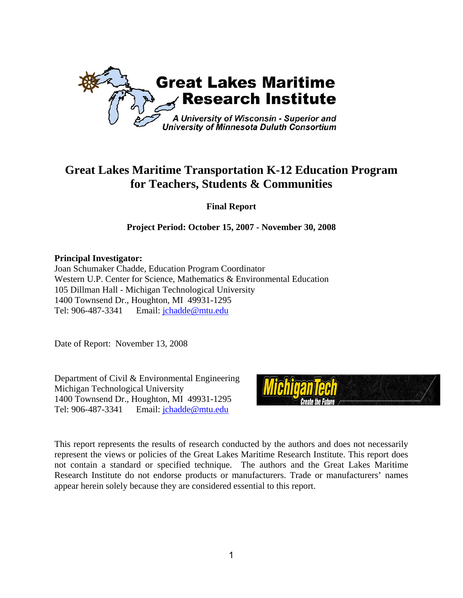

# **Great Lakes Maritime Transportation K-12 Education Program for Teachers, Students & Communities**

**Final Report** 

**Project Period: October 15, 2007 - November 30, 2008** 

**Principal Investigator:** 

Joan Schumaker Chadde, Education Program Coordinator Western U.P. Center for Science, Mathematics & Environmental Education 105 Dillman Hall - Michigan Technological University 1400 Townsend Dr., Houghton, MI 49931-1295 Tel: 906-487-3341 Email: jchadde@mtu.edu

Date of Report: November 13, 2008

Department of Civil & Environmental Engineering Michigan Technological University 1400 Townsend Dr., Houghton, MI 49931-1295 Tel: 906-487-3341 Email: jchadde@mtu.edu



This report represents the results of research conducted by the authors and does not necessarily represent the views or policies of the Great Lakes Maritime Research Institute. This report does not contain a standard or specified technique. The authors and the Great Lakes Maritime Research Institute do not endorse products or manufacturers. Trade or manufacturers' names appear herein solely because they are considered essential to this report.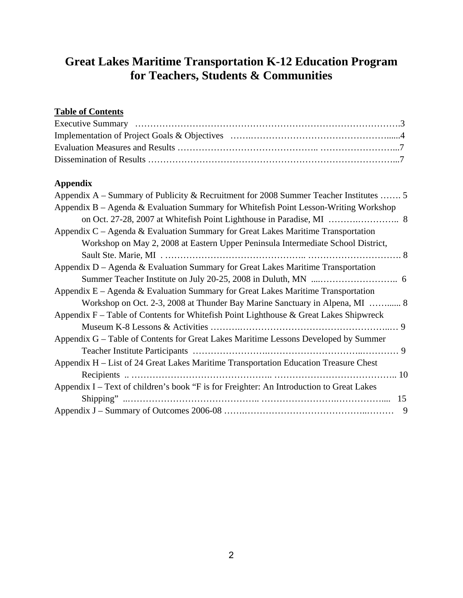# **Great Lakes Maritime Transportation K-12 Education Program for Teachers, Students & Communities**

# **Table of Contents**

# **Appendix**

| Appendix A – Summary of Publicity & Recruitment for 2008 Summer Teacher Institutes  5    |
|------------------------------------------------------------------------------------------|
| Appendix B – Agenda & Evaluation Summary for Whitefish Point Lesson-Writing Workshop     |
|                                                                                          |
| Appendix $C - A$ genda & Evaluation Summary for Great Lakes Maritime Transportation      |
| Workshop on May 2, 2008 at Eastern Upper Peninsula Intermediate School District,         |
|                                                                                          |
| Appendix $D - Agenda \& Evaluation Summary$ for Great Lakes Maritime Transportation      |
|                                                                                          |
| Appendix $E - A$ genda & Evaluation Summary for Great Lakes Maritime Transportation      |
| Workshop on Oct. 2-3, 2008 at Thunder Bay Marine Sanctuary in Alpena, MI  8              |
| Appendix $F -$ Table of Contents for Whitefish Point Lighthouse & Great Lakes Shipwreck  |
|                                                                                          |
| Appendix G – Table of Contents for Great Lakes Maritime Lessons Developed by Summer      |
|                                                                                          |
| Appendix H – List of 24 Great Lakes Maritime Transportation Education Treasure Chest     |
|                                                                                          |
| Appendix I – Text of children's book "F is for Freighter: An Introduction to Great Lakes |
| 15                                                                                       |
| 9                                                                                        |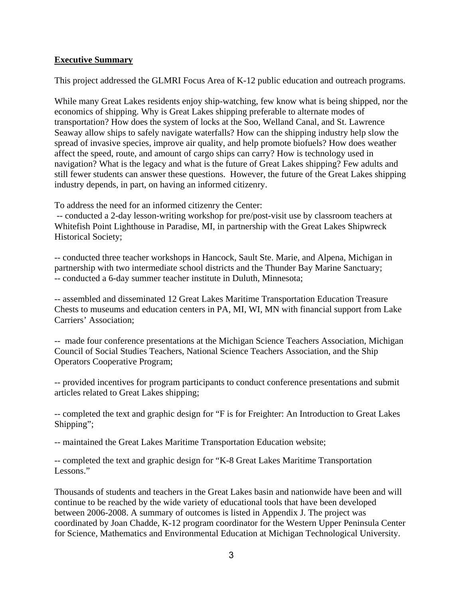## **Executive Summary**

This project addressed the GLMRI Focus Area of K-12 public education and outreach programs.

While many Great Lakes residents enjoy ship-watching, few know what is being shipped, nor the economics of shipping. Why is Great Lakes shipping preferable to alternate modes of transportation? How does the system of locks at the Soo, Welland Canal, and St. Lawrence Seaway allow ships to safely navigate waterfalls? How can the shipping industry help slow the spread of invasive species, improve air quality, and help promote biofuels? How does weather affect the speed, route, and amount of cargo ships can carry? How is technology used in navigation? What is the legacy and what is the future of Great Lakes shipping? Few adults and still fewer students can answer these questions. However, the future of the Great Lakes shipping industry depends, in part, on having an informed citizenry.

To address the need for an informed citizenry the Center:

 -- conducted a 2-day lesson-writing workshop for pre/post-visit use by classroom teachers at Whitefish Point Lighthouse in Paradise, MI, in partnership with the Great Lakes Shipwreck Historical Society;

-- conducted three teacher workshops in Hancock, Sault Ste. Marie, and Alpena, Michigan in partnership with two intermediate school districts and the Thunder Bay Marine Sanctuary; -- conducted a 6-day summer teacher institute in Duluth, Minnesota;

-- assembled and disseminated 12 Great Lakes Maritime Transportation Education Treasure Chests to museums and education centers in PA, MI, WI, MN with financial support from Lake Carriers' Association;

-- made four conference presentations at the Michigan Science Teachers Association, Michigan Council of Social Studies Teachers, National Science Teachers Association, and the Ship Operators Cooperative Program;

-- provided incentives for program participants to conduct conference presentations and submit articles related to Great Lakes shipping;

-- completed the text and graphic design for "F is for Freighter: An Introduction to Great Lakes Shipping";

-- maintained the Great Lakes Maritime Transportation Education website;

-- completed the text and graphic design for "K-8 Great Lakes Maritime Transportation Lessons."

Thousands of students and teachers in the Great Lakes basin and nationwide have been and will continue to be reached by the wide variety of educational tools that have been developed between 2006-2008. A summary of outcomes is listed in Appendix J. The project was coordinated by Joan Chadde, K-12 program coordinator for the Western Upper Peninsula Center for Science, Mathematics and Environmental Education at Michigan Technological University.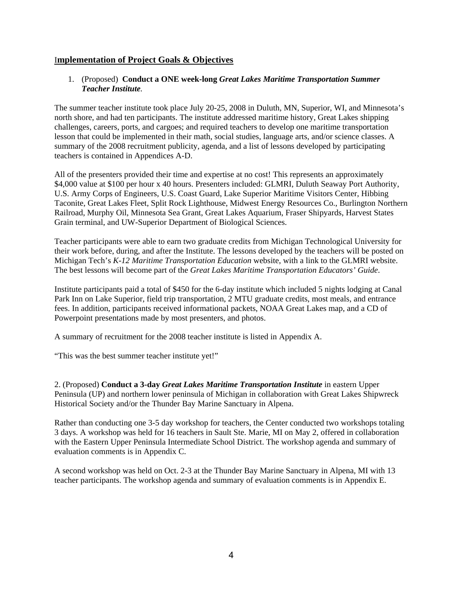## I**mplementation of Project Goals & Objectives**

### 1. (Proposed) **Conduct a ONE week-long** *Great Lakes Maritime Transportation Summer Teacher Institute.*

The summer teacher institute took place July 20-25, 2008 in Duluth, MN, Superior, WI, and Minnesota's north shore, and had ten participants. The institute addressed maritime history, Great Lakes shipping challenges, careers, ports, and cargoes; and required teachers to develop one maritime transportation lesson that could be implemented in their math, social studies, language arts, and/or science classes. A summary of the 2008 recruitment publicity, agenda, and a list of lessons developed by participating teachers is contained in Appendices A-D.

All of the presenters provided their time and expertise at no cost! This represents an approximately \$4,000 value at \$100 per hour x 40 hours. Presenters included: GLMRI, Duluth Seaway Port Authority, U.S. Army Corps of Engineers, U.S. Coast Guard, Lake Superior Maritime Visitors Center, Hibbing Taconite, Great Lakes Fleet, Split Rock Lighthouse, Midwest Energy Resources Co., Burlington Northern Railroad, Murphy Oil, Minnesota Sea Grant, Great Lakes Aquarium, Fraser Shipyards, Harvest States Grain terminal, and UW-Superior Department of Biological Sciences.

Teacher participants were able to earn two graduate credits from Michigan Technological University for their work before, during, and after the Institute. The lessons developed by the teachers will be posted on Michigan Tech's *K-12 Maritime Transportation Education* website, with a link to the GLMRI website. The best lessons will become part of the *Great Lakes Maritime Transportation Educators' Guide*.

Institute participants paid a total of \$450 for the 6-day institute which included 5 nights lodging at Canal Park Inn on Lake Superior, field trip transportation, 2 MTU graduate credits, most meals, and entrance fees. In addition, participants received informational packets, NOAA Great Lakes map, and a CD of Powerpoint presentations made by most presenters, and photos.

A summary of recruitment for the 2008 teacher institute is listed in Appendix A.

"This was the best summer teacher institute yet!"

2. (Proposed) **Conduct a 3-day** *Great Lakes Maritime Transportation Institute* in eastern Upper Peninsula (UP) and northern lower peninsula of Michigan in collaboration with Great Lakes Shipwreck Historical Society and/or the Thunder Bay Marine Sanctuary in Alpena.

Rather than conducting one 3-5 day workshop for teachers, the Center conducted two workshops totaling 3 days. A workshop was held for 16 teachers in Sault Ste. Marie, MI on May 2, offered in collaboration with the Eastern Upper Peninsula Intermediate School District. The workshop agenda and summary of evaluation comments is in Appendix C.

A second workshop was held on Oct. 2-3 at the Thunder Bay Marine Sanctuary in Alpena, MI with 13 teacher participants. The workshop agenda and summary of evaluation comments is in Appendix E.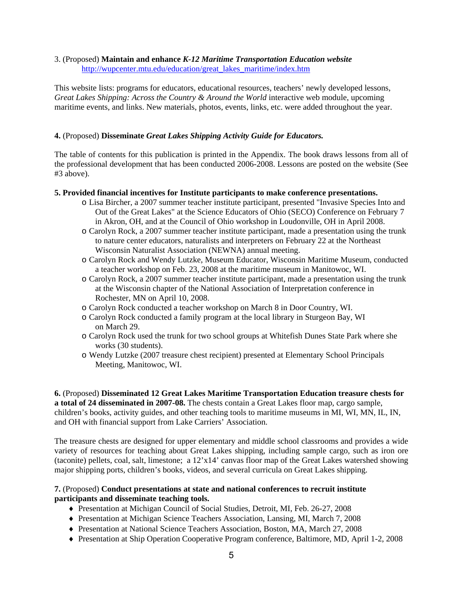### 3. (Proposed) **Maintain and enhance** *K-12 Maritime Transportation Education website* http://wupcenter.mtu.edu/education/great\_lakes\_maritime/index.htm

This website lists: programs for educators, educational resources, teachers' newly developed lessons, *Great Lakes Shipping: Across the Country & Around the World* interactive web module, upcoming maritime events, and links. New materials, photos, events, links, etc. were added throughout the year.

### **4.** (Proposed) **Disseminate** *Great Lakes Shipping Activity Guide for Educators.*

The table of contents for this publication is printed in the Appendix. The book draws lessons from all of the professional development that has been conducted 2006-2008. Lessons are posted on the website (See #3 above).

### **5. Provided financial incentives for Institute participants to make conference presentations.**

- o Lisa Bircher, a 2007 summer teacher institute participant, presented "Invasive Species Into and Out of the Great Lakes" at the Science Educators of Ohio (SECO) Conference on February 7 in Akron, OH, and at the Council of Ohio workshop in Loudonville, OH in April 2008.
- o Carolyn Rock, a 2007 summer teacher institute participant, made a presentation using the trunk to nature center educators, naturalists and interpreters on February 22 at the Northeast Wisconsin Naturalist Association (NEWNA) annual meeting.
- o Carolyn Rock and Wendy Lutzke, Museum Educator, Wisconsin Maritime Museum, conducted a teacher workshop on Feb. 23, 2008 at the maritime museum in Manitowoc, WI.
- o Carolyn Rock, a 2007 summer teacher institute participant, made a presentation using the trunk at the Wisconsin chapter of the National Association of Interpretation conference in Rochester, MN on April 10, 2008.
- o Carolyn Rock conducted a teacher workshop on March 8 in Door Country, WI.
- o Carolyn Rock conducted a family program at the local library in Sturgeon Bay, WI on March 29.
- o Carolyn Rock used the trunk for two school groups at Whitefish Dunes State Park where she works (30 students).
- o Wendy Lutzke (2007 treasure chest recipient) presented at Elementary School Principals Meeting, Manitowoc, WI.

**6.** (Proposed) **Disseminated 12 Great Lakes Maritime Transportation Education treasure chests for a total of 24 disseminated in 2007-08.** The chests contain a Great Lakes floor map, cargo sample, children's books, activity guides, and other teaching tools to maritime museums in MI, WI, MN, IL, IN, and OH with financial support from Lake Carriers' Association.

The treasure chests are designed for upper elementary and middle school classrooms and provides a wide variety of resources for teaching about Great Lakes shipping, including sample cargo, such as iron ore (taconite) pellets, coal, salt, limestone; a 12'x14' canvas floor map of the Great Lakes watershed showing major shipping ports, children's books, videos, and several curricula on Great Lakes shipping.

### **7.** (Proposed) **Conduct presentations at state and national conferences to recruit institute participants and disseminate teaching tools.**

- ♦ Presentation at Michigan Council of Social Studies, Detroit, MI, Feb. 26-27, 2008
- ♦ Presentation at Michigan Science Teachers Association, Lansing, MI, March 7, 2008
- ♦ Presentation at National Science Teachers Association, Boston, MA, March 27, 2008
- ♦ Presentation at Ship Operation Cooperative Program conference, Baltimore, MD, April 1-2, 2008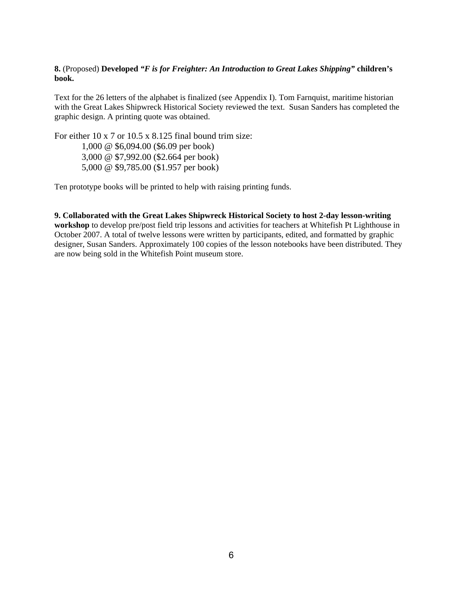### **8.** (Proposed) **Developed** *"F is for Freighter: An Introduction to Great Lakes Shipping"* **children's book.**

Text for the 26 letters of the alphabet is finalized (see Appendix I). Tom Farnquist, maritime historian with the Great Lakes Shipwreck Historical Society reviewed the text. Susan Sanders has completed the graphic design. A printing quote was obtained.

For either 10 x 7 or 10.5 x 8.125 final bound trim size: 1,000 @ \$6,094.00 (\$6.09 per book) 3,000 @ \$7,992.00 (\$2.664 per book) 5,000 @ \$9,785.00 (\$1.957 per book)

Ten prototype books will be printed to help with raising printing funds.

**9. Collaborated with the Great Lakes Shipwreck Historical Society to host 2-day lesson-writing workshop** to develop pre/post field trip lessons and activities for teachers at Whitefish Pt Lighthouse in October 2007. A total of twelve lessons were written by participants, edited, and formatted by graphic designer, Susan Sanders. Approximately 100 copies of the lesson notebooks have been distributed. They are now being sold in the Whitefish Point museum store.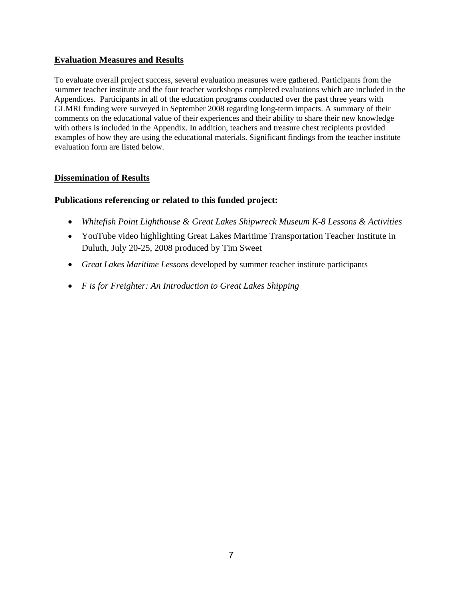## **Evaluation Measures and Results**

To evaluate overall project success, several evaluation measures were gathered. Participants from the summer teacher institute and the four teacher workshops completed evaluations which are included in the Appendices. Participants in all of the education programs conducted over the past three years with GLMRI funding were surveyed in September 2008 regarding long-term impacts. A summary of their comments on the educational value of their experiences and their ability to share their new knowledge with others is included in the Appendix. In addition, teachers and treasure chest recipients provided examples of how they are using the educational materials. Significant findings from the teacher institute evaluation form are listed below.

## **Dissemination of Results**

## **Publications referencing or related to this funded project:**

- *Whitefish Point Lighthouse & Great Lakes Shipwreck Museum K-8 Lessons & Activities*
- YouTube video highlighting Great Lakes Maritime Transportation Teacher Institute in Duluth, July 20-25, 2008 produced by Tim Sweet
- *Great Lakes Maritime Lessons* developed by summer teacher institute participants
- *F is for Freighter: An Introduction to Great Lakes Shipping*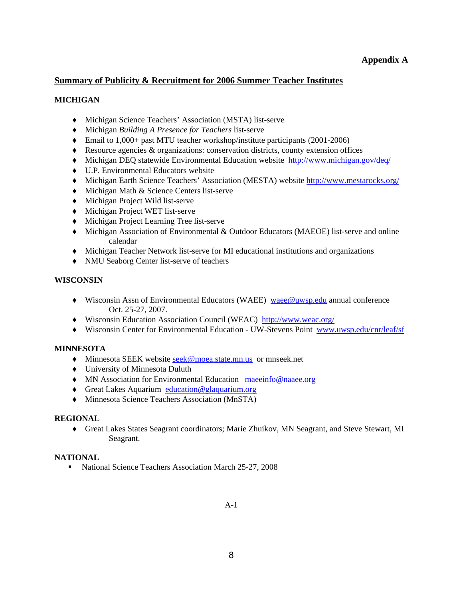## **Appendix A**

## **Summary of Publicity & Recruitment for 2006 Summer Teacher Institutes**

### **MICHIGAN**

- ♦ Michigan Science Teachers' Association (MSTA) list-serve
- ♦ Michigan *Building A Presence for Teachers* list-serve
- ♦ Email to 1,000+ past MTU teacher workshop/institute participants (2001-2006)
- ♦ Resource agencies & organizations: conservation districts, county extension offices
- ♦ Michigan DEQ statewide Environmental Education website http://www.michigan.gov/deq/
- ♦ U.P. Environmental Educators website
- ♦ Michigan Earth Science Teachers' Association (MESTA) website http://www.mestarocks.org/
- ♦ Michigan Math & Science Centers list-serve
- ♦ Michigan Project Wild list-serve
- ♦ Michigan Project WET list-serve
- ♦ Michigan Project Learning Tree list-serve
- ♦ Michigan Association of Environmental & Outdoor Educators (MAEOE) list-serve and online calendar
- ♦ Michigan Teacher Network list-serve for MI educational institutions and organizations
- ♦ NMU Seaborg Center list-serve of teachers

### **WISCONSIN**

- ♦ Wisconsin Assn of Environmental Educators (WAEE) waee@uwsp.edu annual conference Oct. 25-27, 2007.
- ♦ Wisconsin Education Association Council (WEAC) http://www.weac.org/
- ♦ Wisconsin Center for Environmental Education UW-Stevens Point www.uwsp.edu/cnr/leaf/sf

## **MINNESOTA**

- ♦ Minnesota SEEK website seek@moea.state.mn.us or mnseek.net
- ♦ University of Minnesota Duluth
- ♦ MN Association for Environmental Education maeeinfo@naaee.org
- ♦ Great Lakes Aquarium education@glaquarium.org
- ♦ Minnesota Science Teachers Association (MnSTA)

### **REGIONAL**

♦ Great Lakes States Seagrant coordinators; Marie Zhuikov, MN Seagrant, and Steve Stewart, MI Seagrant.

### **NATIONAL**

• National Science Teachers Association March 25-27, 2008

A-1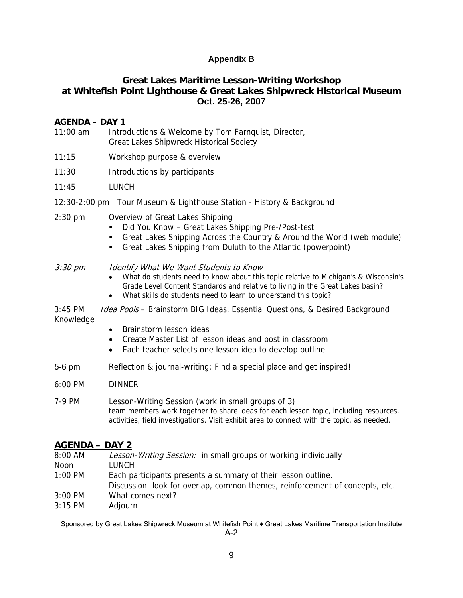## **Appendix B**

# **Great Lakes Maritime Lesson-Writing Workshop at Whitefish Point Lighthouse & Great Lakes Shipwreck Historical Museum Oct. 25-26, 2007**

## **AGENDA – DAY 1**

- 11:00 am Introductions & Welcome by Tom Farnquist, Director, Great Lakes Shipwreck Historical Society
- 11:15 Workshop purpose & overview
- 11:30 Introductions by participants
- 11:45 LUNCH
- 12:30-2:00 pm Tour Museum & Lighthouse Station History & Background
- 2:30 pm Overview of Great Lakes Shipping
	- Did You Know Great Lakes Shipping Pre-/Post-test
	- Great Lakes Shipping Across the Country & Around the World (web module)
	- Great Lakes Shipping from Duluth to the Atlantic (powerpoint)

### 3:30 pm Identify What We Want Students to Know

- What do students need to know about this topic relative to Michigan's & Wisconsin's Grade Level Content Standards and relative to living in the Great Lakes basin?
- What skills do students need to learn to understand this topic?
- 3:45 PM Idea Pools Brainstorm BIG Ideas, Essential Questions, & Desired Background Knowledge
	- Brainstorm lesson ideas
	- Create Master List of lesson ideas and post in classroom
	- Each teacher selects one lesson idea to develop outline
- 5-6 pm Reflection & journal-writing: Find a special place and get inspired!
- 6:00 PM DINNER
- 7-9 PM Lesson-Writing Session (work in small groups of 3) team members work together to share ideas for each lesson topic, including resources, activities, field investigations. Visit exhibit area to connect with the topic, as needed.

## **AGENDA – DAY 2**

| 8:00 AM   | Lesson-Writing Session: in small groups or working individually              |
|-----------|------------------------------------------------------------------------------|
| Noon      | LUNCH                                                                        |
| 1:00 PM   | Each participants presents a summary of their lesson outline.                |
|           | Discussion: look for overlap, common themes, reinforcement of concepts, etc. |
| 3:00 PM   | What comes next?                                                             |
| $3:15$ PM | Adjourn                                                                      |

Sponsored by Great Lakes Shipwreck Museum at Whitefish Point ♦ Great Lakes Maritime Transportation Institute A-2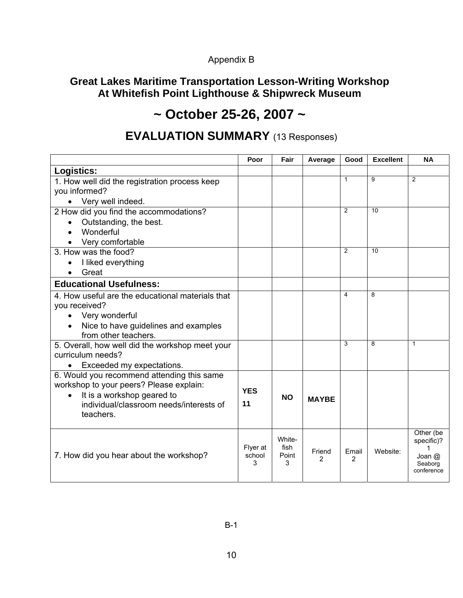# Appendix B

# **Great Lakes Maritime Transportation Lesson-Writing Workshop At Whitefish Point Lighthouse & Shipwreck Museum**

# **~ October 25-26, 2007 ~**

# **EVALUATION SUMMARY** (13 Responses)

|                                                                                                                     | Poor                    | Fair                         | Average      | Good       | <b>Excellent</b> | <b>NA</b>                           |
|---------------------------------------------------------------------------------------------------------------------|-------------------------|------------------------------|--------------|------------|------------------|-------------------------------------|
| Logistics:                                                                                                          |                         |                              |              |            |                  |                                     |
| 1. How well did the registration process keep<br>you informed?                                                      |                         |                              |              | 1          | 9                | $\overline{2}$                      |
| Very well indeed.                                                                                                   |                         |                              |              |            |                  |                                     |
| 2 How did you find the accommodations?                                                                              |                         |                              |              | 2          | 10               |                                     |
| Outstanding, the best.                                                                                              |                         |                              |              |            |                  |                                     |
| Wonderful                                                                                                           |                         |                              |              |            |                  |                                     |
| Very comfortable                                                                                                    |                         |                              |              |            |                  |                                     |
| 3. How was the food?                                                                                                |                         |                              |              | 2          | 10               |                                     |
| I liked everything                                                                                                  |                         |                              |              |            |                  |                                     |
| Great                                                                                                               |                         |                              |              |            |                  |                                     |
| <b>Educational Usefulness:</b>                                                                                      |                         |                              |              |            |                  |                                     |
| 4. How useful are the educational materials that                                                                    |                         |                              |              | 4          | 8                |                                     |
| you received?                                                                                                       |                         |                              |              |            |                  |                                     |
| Very wonderful                                                                                                      |                         |                              |              |            |                  |                                     |
| Nice to have guidelines and examples                                                                                |                         |                              |              |            |                  |                                     |
| from other teachers.                                                                                                |                         |                              |              |            |                  |                                     |
| 5. Overall, how well did the workshop meet your<br>curriculum needs?                                                |                         |                              |              | 3          | 8                | $\mathbf{1}$                        |
| Exceeded my expectations.                                                                                           |                         |                              |              |            |                  |                                     |
| 6. Would you recommend attending this same<br>workshop to your peers? Please explain:<br>It is a workshop geared to |                         | <b>NO</b>                    | <b>MAYBE</b> |            |                  |                                     |
| individual/classroom needs/interests of<br>teachers.                                                                | 11                      |                              |              |            |                  |                                     |
| 7. How did you hear about the workshop?                                                                             | Flyer at<br>school<br>3 | White-<br>fish<br>Point<br>3 | Friend<br>2  | Email<br>2 | Website:         | Other (be<br>specific)?<br>Joan $@$ |
|                                                                                                                     |                         |                              |              |            |                  | Seaborg<br>conference               |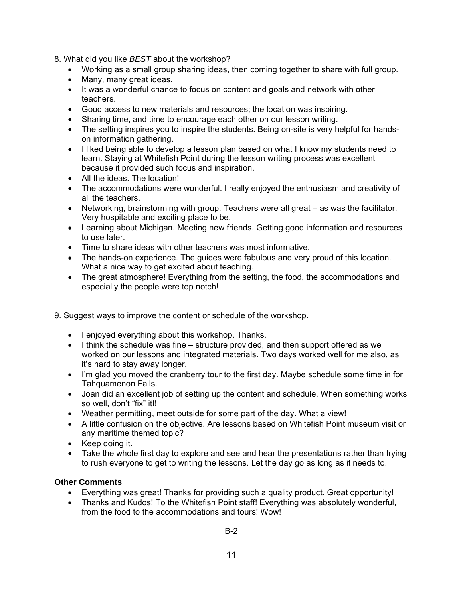- 8. What did you like *BEST* about the workshop?
	- Working as a small group sharing ideas, then coming together to share with full group.
	- Many, many great ideas.
	- It was a wonderful chance to focus on content and goals and network with other teachers.
	- Good access to new materials and resources; the location was inspiring.
	- Sharing time, and time to encourage each other on our lesson writing.
	- The setting inspires you to inspire the students. Being on-site is very helpful for handson information gathering.
	- I liked being able to develop a lesson plan based on what I know my students need to learn. Staying at Whitefish Point during the lesson writing process was excellent because it provided such focus and inspiration.
	- All the ideas. The location!
	- The accommodations were wonderful. I really enjoyed the enthusiasm and creativity of all the teachers.
	- Networking, brainstorming with group. Teachers were all great as was the facilitator. Very hospitable and exciting place to be.
	- Learning about Michigan. Meeting new friends. Getting good information and resources to use later.
	- Time to share ideas with other teachers was most informative.
	- The hands-on experience. The guides were fabulous and very proud of this location. What a nice way to get excited about teaching.
	- The great atmosphere! Everything from the setting, the food, the accommodations and especially the people were top notch!
- 9. Suggest ways to improve the content or schedule of the workshop.
	- I enjoyed everything about this workshop. Thanks.
	- I think the schedule was fine structure provided, and then support offered as we worked on our lessons and integrated materials. Two days worked well for me also, as it's hard to stay away longer.
	- I'm glad you moved the cranberry tour to the first day. Maybe schedule some time in for Tahquamenon Falls.
	- Joan did an excellent job of setting up the content and schedule. When something works so well, don't "fix" it!!
	- Weather permitting, meet outside for some part of the day. What a view!
	- A little confusion on the objective. Are lessons based on Whitefish Point museum visit or any maritime themed topic?
	- Keep doing it.
	- Take the whole first day to explore and see and hear the presentations rather than trying to rush everyone to get to writing the lessons. Let the day go as long as it needs to.

## **Other Comments**

- Everything was great! Thanks for providing such a quality product. Great opportunity!
- Thanks and Kudos! To the Whitefish Point staff! Everything was absolutely wonderful, from the food to the accommodations and tours! Wow!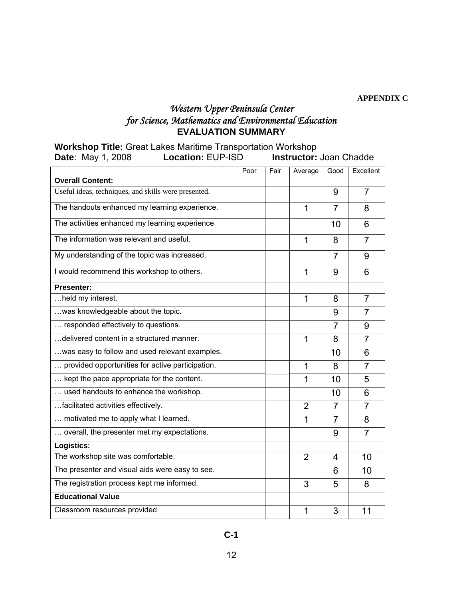**APPENDIX C** 

# *Western Upper Peninsula Center for Science, Mathematics and Environmental Education*  **EVALUATION SUMMARY**

|                          | <b>Workshop Title: Great Lakes Maritime Transportation Workshop</b> |                                |
|--------------------------|---------------------------------------------------------------------|--------------------------------|
| <b>Date:</b> May 1, 2008 | <b>Location: EUP-ISD</b>                                            | <b>Instructor: Joan Chadde</b> |

|                                                      | Poor | Fair | Average        | Good           | Excellent      |
|------------------------------------------------------|------|------|----------------|----------------|----------------|
| <b>Overall Content:</b>                              |      |      |                |                |                |
| Useful ideas, techniques, and skills were presented. |      |      |                | 9              | $\overline{7}$ |
| The handouts enhanced my learning experience.        |      |      | 1              | $\overline{7}$ | 8              |
| The activities enhanced my learning experience       |      |      |                | 10             | 6              |
| The information was relevant and useful.             |      |      | 1              | 8              | $\overline{7}$ |
| My understanding of the topic was increased.         |      |      |                | $\overline{7}$ | 9              |
| I would recommend this workshop to others.           |      |      | 1              | 9              | 6              |
| <b>Presenter:</b>                                    |      |      |                |                |                |
| held my interest.                                    |      |      | 1              | 8              | $\overline{7}$ |
| was knowledgeable about the topic.                   |      |      |                | 9              | 7              |
| responded effectively to questions.                  |      |      |                | 7              | 9              |
| delivered content in a structured manner.            |      |      | 1              | 8              | $\overline{7}$ |
| was easy to follow and used relevant examples.       |      |      |                | 10             | 6              |
| provided opportunities for active participation.     |      |      | 1              | 8              | $\overline{7}$ |
| kept the pace appropriate for the content.           |      |      | 1              | 10             | 5              |
| used handouts to enhance the workshop.               |      |      |                | 10             | 6              |
| facilitated activities effectively.                  |      |      | $\overline{2}$ | $\overline{7}$ | $\overline{7}$ |
| motivated me to apply what I learned.                |      |      | 1              | $\overline{7}$ | 8              |
| overall, the presenter met my expectations.          |      |      |                | 9              | $\overline{7}$ |
| Logistics:                                           |      |      |                |                |                |
| The workshop site was comfortable.                   |      |      | 2              | 4              | 10             |
| The presenter and visual aids were easy to see.      |      |      |                | 6              | 10             |
| The registration process kept me informed.           |      |      | 3              | 5              | 8              |
| <b>Educational Value</b>                             |      |      |                |                |                |
| Classroom resources provided                         |      |      | 1              | 3              | 11             |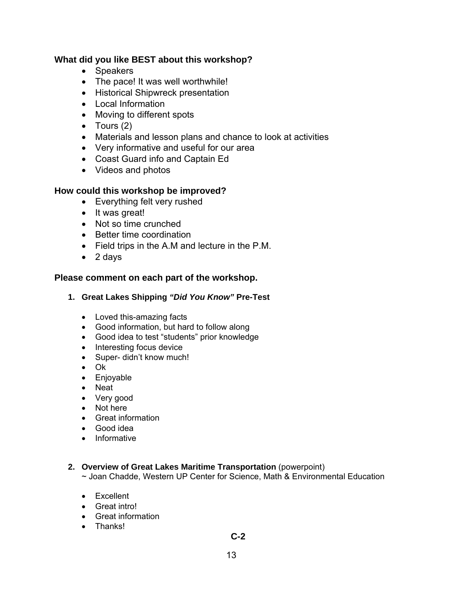# **What did you like BEST about this workshop?**

- Speakers
- The pace! It was well worthwhile!
- Historical Shipwreck presentation
- Local Information
- Moving to different spots
- Tours  $(2)$
- Materials and lesson plans and chance to look at activities
- Very informative and useful for our area
- Coast Guard info and Captain Ed
- Videos and photos

## **How could this workshop be improved?**

- Everything felt very rushed
- It was great!
- Not so time crunched
- Better time coordination
- Field trips in the A.M and lecture in the P.M.
- 2 days

## **Please comment on each part of the workshop.**

## **1. Great Lakes Shipping** *"Did You Know"* **Pre-Test**

- Loved this-amazing facts
- Good information, but hard to follow along
- Good idea to test "students" prior knowledge
- Interesting focus device
- Super- didn't know much!
- Ok
- Enjoyable
- Neat
- Very good
- Not here
- Great information
- Good idea
- Informative

## **2. Overview of Great Lakes Maritime Transportation** (powerpoint)

~ Joan Chadde, Western UP Center for Science, Math & Environmental Education

- Excellent
- Great intro!
- Great information
- Thanks!

## **C-2**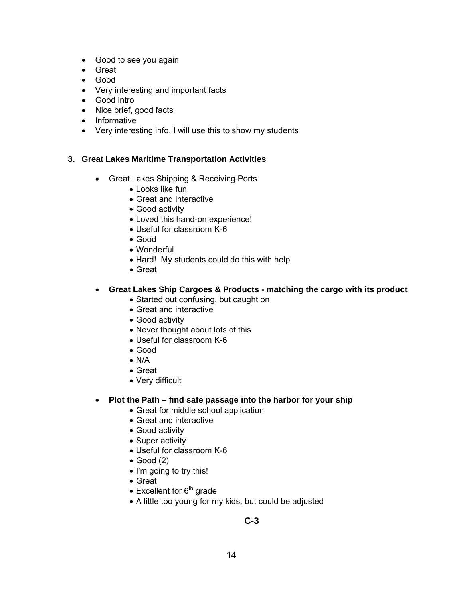- Good to see you again
- Great
- Good
- Very interesting and important facts
- Good intro
- Nice brief, good facts
- Informative
- Very interesting info, I will use this to show my students

### **3. Great Lakes Maritime Transportation Activities**

- Great Lakes Shipping & Receiving Ports
	- Looks like fun
	- Great and interactive
	- Good activity
	- Loved this hand-on experience!
	- Useful for classroom K-6
	- Good
	- Wonderful
	- Hard! My students could do this with help
	- Great

### • **Great Lakes Ship Cargoes & Products - matching the cargo with its product**

- Started out confusing, but caught on
- Great and interactive
- Good activity
- Never thought about lots of this
- Useful for classroom K-6
- Good
- N/A
- Great
- Very difficult

### • **Plot the Path – find safe passage into the harbor for your ship**

- Great for middle school application
- Great and interactive
- Good activity
- Super activity
- Useful for classroom K-6
- Good (2)
- I'm going to try this!
- Great
- Excellent for  $6<sup>th</sup>$  grade
- A little too young for my kids, but could be adjusted

# **C-3**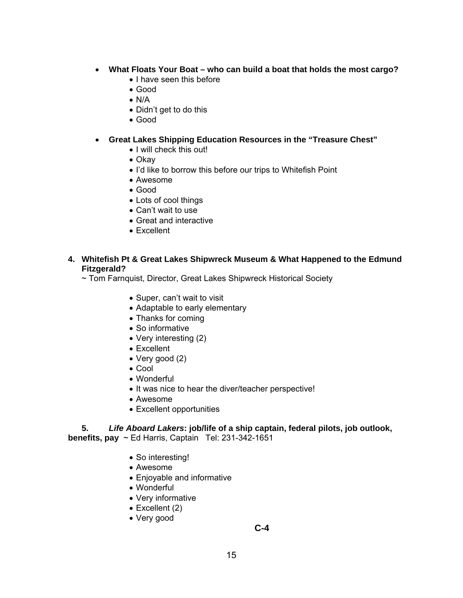- **What Floats Your Boat who can build a boat that holds the most cargo?** 
	- I have seen this before
	- Good
	- N/A
	- Didn't get to do this
	- Good

### • **Great Lakes Shipping Education Resources in the "Treasure Chest"**

- I will check this out!
- Okay
- I'd like to borrow this before our trips to Whitefish Point
- Awesome
- Good
- Lots of cool things
- Can't wait to use
- Great and interactive
- Excellent

## **4. Whitefish Pt & Great Lakes Shipwreck Museum & What Happened to the Edmund Fitzgerald?**

~ Tom Farnquist, Director, Great Lakes Shipwreck Historical Society

- Super, can't wait to visit
- Adaptable to early elementary
- Thanks for coming
- So informative
- Very interesting (2)
- Excellent
- Very good (2)
- Cool
- Wonderful
- It was nice to hear the diver/teacher perspective!
- Awesome
- Excellent opportunities

### **5.** *Life Aboard Lakers***: job/life of a ship captain, federal pilots, job outlook, benefits, pay** ~ Ed Harris, Captain Tel: 231-342-1651

- So interesting!
- Awesome
- Enjoyable and informative
- Wonderful
- Very informative
- Excellent (2)
- Very good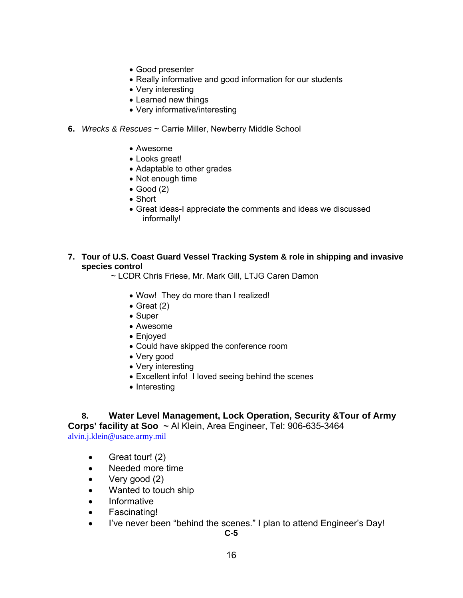- Good presenter
- Really informative and good information for our students
- Very interesting
- Learned new things
- Very informative/interesting
- **6.** *Wrecks & Rescues* ~ Carrie Miller, Newberry Middle School
	- Awesome
	- Looks great!
	- Adaptable to other grades
	- Not enough time
	- Good (2)
	- Short
	- Great ideas-I appreciate the comments and ideas we discussed informally!
- **7. Tour of U.S. Coast Guard Vessel Tracking System & role in shipping and invasive species control** 
	- ~ LCDR Chris Friese, Mr. Mark Gill, LTJG Caren Damon
		- Wow! They do more than I realized!
		- Great (2)
		- Super
		- Awesome
		- Enjoyed
		- Could have skipped the conference room
		- Very good
		- Very interesting
		- Excellent info! I loved seeing behind the scenes
		- Interesting

**8. Water Level Management, Lock Operation, Security &Tour of Army Corps' facility at Soo ~** Al Klein, Area Engineer, Tel: 906-635-3464 alvin.j.klein@usace.army.mil

- Great tour! (2)
- Needed more time
- Very good (2)
- Wanted to touch ship
- Informative
- Fascinating!
- I've never been "behind the scenes." I plan to attend Engineer's Day!

**C-5**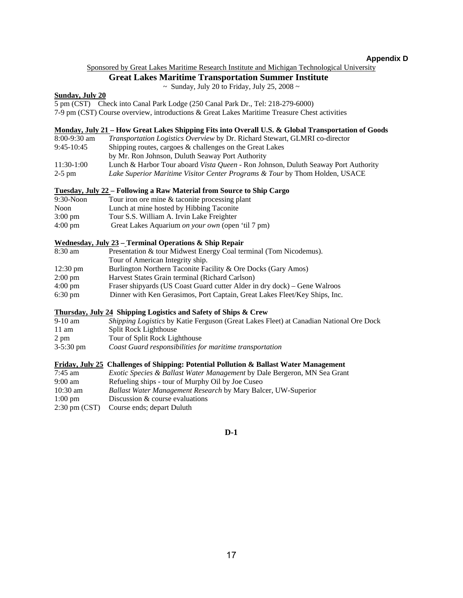### **Appendix D**

#### Sponsored by Great Lakes Maritime Research Institute and Michigan Technological University

### **Great Lakes Maritime Transportation Summer Institute**

 $\sim$  Sunday, July 20 to Friday, July 25, 2008  $\sim$ 

#### **Sunday, July 20**

5 pm (CST) Check into Canal Park Lodge (250 Canal Park Dr., Tel: 218-279-6000)

7-9 pm (CST) Course overview, introductions & Great Lakes Maritime Treasure Chest activities

#### **Monday, July 21 – How Great Lakes Shipping Fits into Overall U.S. & Global Transportation of Goods**

| $8:00-9:30$ am | <i>Transportation Logistics Overview</i> by Dr. Richard Stewart, GLMRI co-director        |
|----------------|-------------------------------------------------------------------------------------------|
| $9:45-10:45$   | Shipping routes, cargoes & challenges on the Great Lakes                                  |
|                | by Mr. Ron Johnson, Duluth Seaway Port Authority                                          |
| $11:30-1:00$   | Lunch & Harbor Tour aboard <i>Vista Queen</i> - Ron Johnson, Duluth Seaway Port Authority |
| $2-5$ pm       | <i>Lake Superior Maritime Visitor Center Programs &amp; Tour by Thom Holden, USACE</i>    |

#### **Tuesday, July 22 – Following a Raw Material from Source to Ship Cargo**

| $9:30-N$ oon      | Tour iron ore mine & taconite processing plant    |
|-------------------|---------------------------------------------------|
| Noon              | Lunch at mine hosted by Hibbing Taconite          |
| $3:00 \text{ pm}$ | Tour S.S. William A. Irvin Lake Freighter         |
| $4:00 \text{ pm}$ | Great Lakes Aquarium on your own (open 'til 7 pm) |

#### **Wednesday, July 23 – Terminal Operations & Ship Repair**

| 8:30 am            | Presentation & tour Midwest Energy Coal terminal (Tom Nicodemus).          |
|--------------------|----------------------------------------------------------------------------|
|                    | Tour of American Integrity ship.                                           |
| $12:30 \text{ pm}$ | Burlington Northern Taconite Facility & Ore Docks (Gary Amos)              |
| $2:00 \text{ pm}$  | Harvest States Grain terminal (Richard Carlson)                            |
| $4:00 \text{ pm}$  | Fraser shipyards (US Coast Guard cutter Alder in dry dock) – Gene Walroos  |
| $6:30 \text{ pm}$  | Dinner with Ken Gerasimos, Port Captain, Great Lakes Fleet/Key Ships, Inc. |

### **Thursday, July 24 Shipping Logistics and Safety of Ships & Crew**

| $9-10$ am           | <i>Shipping Logistics</i> by Katie Ferguson (Great Lakes Fleet) at Canadian National Ore Dock |
|---------------------|-----------------------------------------------------------------------------------------------|
| $11 \text{ am}$     | Split Rock Lighthouse                                                                         |
| 2 pm                | Tour of Split Rock Lighthouse                                                                 |
| $3-5:30 \text{ pm}$ | Coast Guard responsibilities for maritime transportation                                      |

#### **Friday, July 25 Challenges of Shipping: Potential Pollution & Ballast Water Management**

| 7:45 am                  | <i>Exotic Species &amp; Ballast Water Management</i> by Dale Bergeron, MN Sea Grant |
|--------------------------|-------------------------------------------------------------------------------------|
| $9:00 \text{ am}$        | Refueling ships - tour of Murphy Oil by Joe Cuseo                                   |
| $10:30 \text{ am}$       | <i>Ballast Water Management Research</i> by Mary Balcer, UW-Superior                |
| $1:00 \text{ pm}$        | Discussion & course evaluations                                                     |
| $2:30 \text{ pm } (CST)$ | Course ends; depart Duluth                                                          |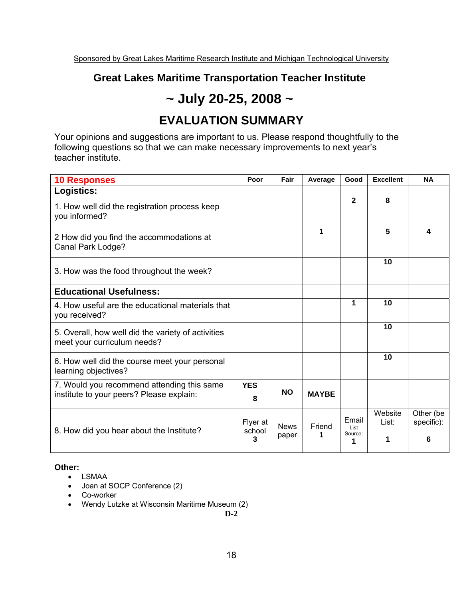# **Great Lakes Maritime Transportation Teacher Institute**

# **~ July 20-25, 2008 ~**

# **EVALUATION SUMMARY**

Your opinions and suggestions are important to us. Please respond thoughtfully to the following questions so that we can make necessary improvements to next year's teacher institute.

| <b>10 Responses</b>                                                                    | Poor                    | Fair                 | Average      | Good                          | <b>Excellent</b>      | <b>NA</b>                    |
|----------------------------------------------------------------------------------------|-------------------------|----------------------|--------------|-------------------------------|-----------------------|------------------------------|
| Logistics:                                                                             |                         |                      |              |                               |                       |                              |
| 1. How well did the registration process keep<br>you informed?                         |                         |                      |              | $\overline{2}$                | 8                     |                              |
| 2 How did you find the accommodations at<br>Canal Park Lodge?                          |                         |                      | 1            |                               | 5                     | 4                            |
| 3. How was the food throughout the week?                                               |                         |                      |              |                               | 10                    |                              |
| <b>Educational Usefulness:</b>                                                         |                         |                      |              |                               |                       |                              |
| 4. How useful are the educational materials that<br>you received?                      |                         |                      |              | 1                             | 10                    |                              |
| 5. Overall, how well did the variety of activities<br>meet your curriculum needs?      |                         |                      |              |                               | 10                    |                              |
| 6. How well did the course meet your personal<br>learning objectives?                  |                         |                      |              |                               | 10                    |                              |
| 7. Would you recommend attending this same<br>institute to your peers? Please explain: | <b>YES</b><br>8         | <b>NO</b>            | <b>MAYBE</b> |                               |                       |                              |
| 8. How did you hear about the Institute?                                               | Flyer at<br>school<br>3 | <b>News</b><br>paper | Friend<br>1  | Email<br>List<br>Source:<br>1 | Website<br>List:<br>1 | Other (be<br>specific):<br>6 |

## **Other:**

- LSMAA
- Joan at SOCP Conference (2)
- Co-worker
- Wendy Lutzke at Wisconsin Maritime Museum (2)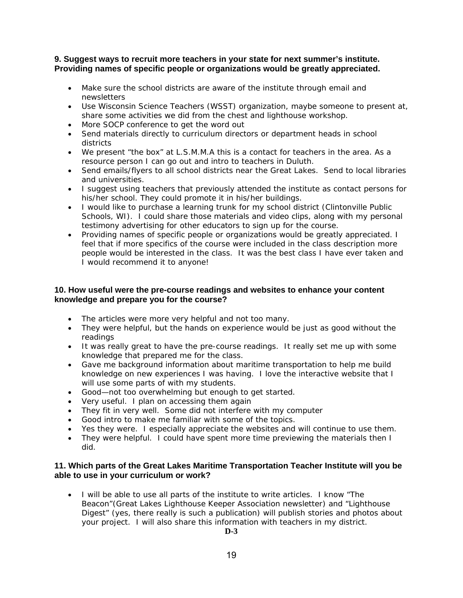### **9. Suggest ways to recruit more teachers in your state for next summer's institute. Providing names of specific people or organizations would be greatly appreciated.**

- Make sure the school districts are aware of the institute through email and newsletters
- Use Wisconsin Science Teachers (WSST) organization, maybe someone to present at, share some activities we did from the chest and lighthouse workshop.
- More SOCP conference to get the word out
- Send materials directly to curriculum directors or department heads in school districts
- We present "the box" at L.S.M.M.A this is a contact for teachers in the area. As a resource person I can go out and intro to teachers in Duluth.
- Send emails/flyers to all school districts near the Great Lakes. Send to local libraries and universities.
- I suggest using teachers that previously attended the institute as contact persons for his/her school. They could promote it in his/her buildings.
- I would like to purchase a learning trunk for my school district (Clintonville Public Schools, WI). I could share those materials and video clips, along with my personal testimony advertising for other educators to sign up for the course.
- Providing names of specific people or organizations would be greatly appreciated. I feel that if more specifics of the course were included in the class description more people would be interested in the class. It was the best class I have ever taken and I would recommend it to anyone!

### **10. How useful were the pre-course readings and websites to enhance your content knowledge and prepare you for the course?**

- The articles were more very helpful and not too many.
- They were helpful, but the hands on experience would be just as good without the readings
- It was really great to have the pre-course readings. It really set me up with some knowledge that prepared me for the class.
- Gave me background information about maritime transportation to help me build knowledge on new experiences I was having. I love the interactive website that I will use some parts of with my students.
- Good—not too overwhelming but enough to get started.
- Very useful. I plan on accessing them again
- They fit in very well. Some did not interfere with my computer
- Good intro to make me familiar with some of the topics.
- Yes they were. I especially appreciate the websites and will continue to use them.
- They were helpful. I could have spent more time previewing the materials then I did.

### **11. Which parts of the Great Lakes Maritime Transportation Teacher Institute will you be able to use in your curriculum or work?**

• I will be able to use all parts of the institute to write articles. I know "The Beacon"(Great Lakes Lighthouse Keeper Association newsletter) and "Lighthouse Digest" (yes, there really is such a publication) will publish stories and photos about your project. I will also share this information with teachers in my district.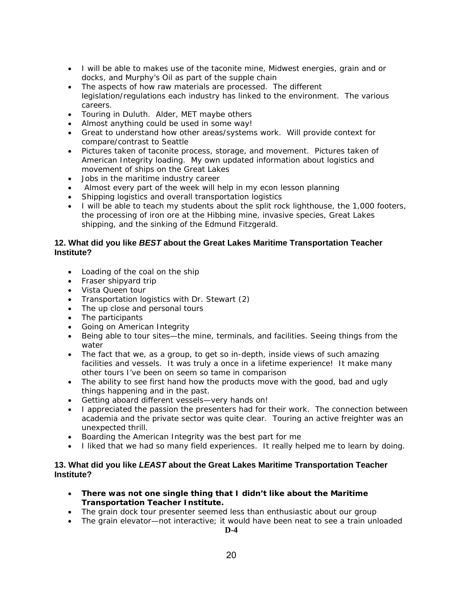- I will be able to makes use of the taconite mine, Midwest energies, grain and or docks, and Murphy's Oil as part of the supple chain
- The aspects of how raw materials are processed. The different legislation/regulations each industry has linked to the environment. The various careers.
- Touring in Duluth. Alder, MET maybe others
- Almost anything could be used in some way!
- Great to understand how other areas/systems work. Will provide context for compare/contrast to Seattle
- Pictures taken of taconite process, storage, and movement. Pictures taken of American Integrity loading. My own updated information about logistics and movement of ships on the Great Lakes
- Jobs in the maritime industry career
- Almost every part of the week will help in my econ lesson planning
- Shipping logistics and overall transportation logistics
- I will be able to teach my students about the split rock lighthouse, the 1,000 footers, the processing of iron ore at the Hibbing mine, invasive species, Great Lakes shipping, and the sinking of the Edmund Fitzgerald.

### **12. What did you like** *BEST* **about the Great Lakes Maritime Transportation Teacher Institute?**

- Loading of the coal on the ship
- Fraser shipyard trip
- Vista Queen tour
- Transportation logistics with Dr. Stewart (2)
- The up close and personal tours
- The participants
- Going on American Integrity
- Being able to tour sites—the mine, terminals, and facilities. Seeing things from the water
- The fact that we, as a group, to get so in-depth, inside views of such amazing facilities and vessels. It was truly a once in a lifetime experience! It make many other tours I've been on seem so tame in comparison
- The ability to see first hand how the products move with the good, bad and ugly things happening and in the past.
- Getting aboard different vessels—very hands on!
- I appreciated the passion the presenters had for their work. The connection between academia and the private sector was quite clear. Touring an active freighter was an unexpected thrill.
- Boarding the American Integrity was the best part for me
- I liked that we had so many field experiences. It really helped me to learn by doing.

### **13. What did you like** *LEAST* **about the Great Lakes Maritime Transportation Teacher Institute?**

- **There was not one single thing that I didn't like about the Maritime Transportation Teacher Institute.**
- The grain dock tour presenter seemed less than enthusiastic about our group
- The grain elevator—not interactive; it would have been neat to see a train unloaded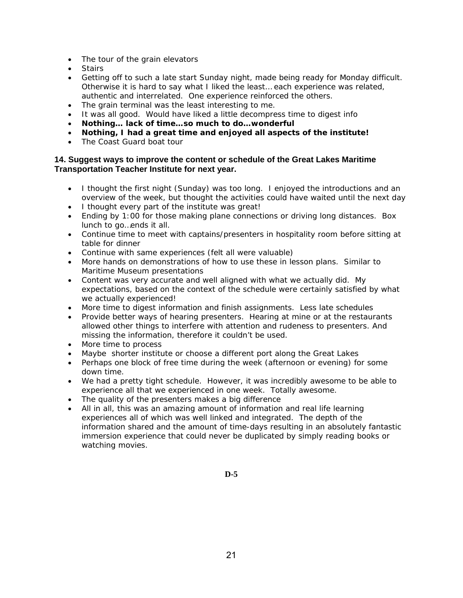- The tour of the grain elevators
- Stairs
- Getting off to such a late start Sunday night, made being ready for Monday difficult. Otherwise it is hard to say what I liked the least… each experience was related, authentic and interrelated. One experience reinforced the others.
- The grain terminal was the least interesting to me.
- It was all good. Would have liked a little decompress time to digest info
- **Nothing… lack of time…so much to do…wonderful**
- **Nothing, I had a great time and enjoyed all aspects of the institute!**
- The Coast Guard boat tour

### **14. Suggest ways to improve the content or schedule of the Great Lakes Maritime Transportation Teacher Institute for next year.**

- I thought the first night (Sunday) was too long. I enjoyed the introductions and an overview of the week, but thought the activities could have waited until the next day
- I thought every part of the institute was great!
- Ending by 1:00 for those making plane connections or driving long distances. Box lunch to go…ends it all.
- Continue time to meet with captains/presenters in hospitality room before sitting at table for dinner
- Continue with same experiences (felt all were valuable)
- More hands on demonstrations of how to use these in lesson plans. Similar to Maritime Museum presentations
- Content was very accurate and well aligned with what we actually did. My expectations, based on the context of the schedule were certainly satisfied by what we actually experienced!
- More time to digest information and finish assignments. Less late schedules
- Provide better ways of hearing presenters. Hearing at mine or at the restaurants allowed other things to interfere with attention and rudeness to presenters. And missing the information, therefore it couldn't be used.
- More time to process
- Maybe shorter institute or choose a different port along the Great Lakes
- Perhaps one block of free time during the week (afternoon or evening) for some down time.
- We had a pretty tight schedule. However, it was incredibly awesome to be able to experience all that we experienced in one week. Totally awesome.
- The quality of the presenters makes a big difference
- All in all, this was an amazing amount of information and real life learning experiences all of which was well linked and integrated. The depth of the information shared and the amount of time-days resulting in an absolutely fantastic immersion experience that could never be duplicated by simply reading books or watching movies.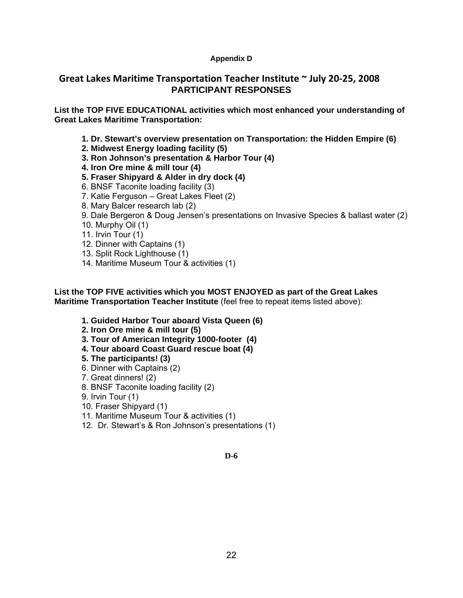## **Appendix D**

# **Great Lakes Maritime Transportation Teacher Institute ~ July 20‐25, 2008 PARTICIPANT RESPONSES**

**List the TOP FIVE EDUCATIONAL activities which most enhanced your understanding of Great Lakes Maritime Transportation:** 

- **1. Dr. Stewart's overview presentation on Transportation: the Hidden Empire (6)**
- **2. Midwest Energy loading facility (5)**
- **3. Ron Johnson's presentation & Harbor Tour (4)**
- **4. Iron Ore mine & mill tour (4)**
- **5. Fraser Shipyard & Alder in dry dock (4)**
- 6. BNSF Taconite loading facility (3)
- 7. Katie Ferguson Great Lakes Fleet (2)
- 8. Mary Balcer research lab (2)
- 9. Dale Bergeron & Doug Jensen's presentations on Invasive Species & ballast water (2)
- 10. Murphy Oil (1)
- 11. Irvin Tour (1)
- 12. Dinner with Captains (1)
- 13. Split Rock Lighthouse (1)
- 14. Maritime Museum Tour & activities (1)

**List the TOP FIVE activities which you MOST ENJOYED as part of the Great Lakes Maritime Transportation Teacher Institute** (feel free to repeat items listed above):

- **1. Guided Harbor Tour aboard Vista Queen (6)**
- **2. Iron Ore mine & mill tour (5)**
- **3. Tour of American Integrity 1000-footer (4)**
- **4. Tour aboard Coast Guard rescue boat (4)**
- **5. The participants! (3)**
- 6. Dinner with Captains (2)
- 7. Great dinners! (2)
- 8. BNSF Taconite loading facility (2)
- 9. Irvin Tour (1)
- 10. Fraser Shipyard (1)
- 11. Maritime Museum Tour & activities (1)
- 12. Dr. Stewart's & Ron Johnson's presentations (1)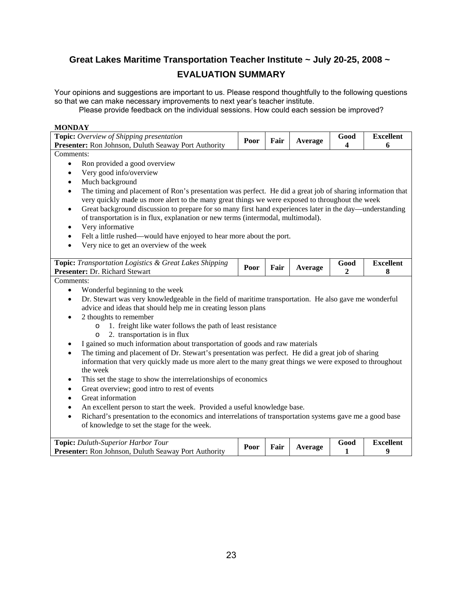# **Great Lakes Maritime Transportation Teacher Institute ~ July 20-25, 2008 ~ EVALUATION SUMMARY**

Your opinions and suggestions are important to us. Please respond thoughtfully to the following questions so that we can make necessary improvements to next year's teacher institute.

Please provide feedback on the individual sessions. How could each session be improved?

### **MONDAY**

| Comments:<br>Ron provided a good overview<br>$\bullet$<br>Very good info/overview<br>$\bullet$<br>Much background<br>$\bullet$<br>The timing and placement of Ron's presentation was perfect. He did a great job of sharing information that<br>$\bullet$<br>very quickly made us more alert to the many great things we were exposed to throughout the week<br>Great background discussion to prepare for so many first hand experiences later in the day—understanding<br>$\bullet$<br>of transportation is in flux, explanation or new terms (intermodal, multimodal).<br>Very informative<br>٠<br>Felt a little rushed—would have enjoyed to hear more about the port.<br>$\bullet$<br>Very nice to get an overview of the week<br>$\bullet$<br>Topic: Transportation Logistics & Great Lakes Shipping<br><b>Excellent</b><br>Good<br>Fair<br>Poor<br>Average<br>Presenter: Dr. Richard Stewart<br>8<br>2<br>Comments:<br>Wonderful beginning to the week<br>$\bullet$<br>Dr. Stewart was very knowledgeable in the field of maritime transportation. He also gave me wonderful<br>$\bullet$<br>advice and ideas that should help me in creating lesson plans<br>2 thoughts to remember<br>1. freight like water follows the path of least resistance<br>$\circ$<br>2. transportation is in flux<br>$\circ$<br>I gained so much information about transportation of goods and raw materials<br>The timing and placement of Dr. Stewart's presentation was perfect. He did a great job of sharing<br>$\bullet$<br>information that very quickly made us more alert to the many great things we were exposed to throughout<br>the week<br>This set the stage to show the interrelationships of economics<br>٠<br>Great overview; good intro to rest of events<br>$\bullet$<br>Great information<br>$\bullet$<br>An excellent person to start the week. Provided a useful knowledge base.<br>$\bullet$<br>Richard's presentation to the economics and interrelations of transportation systems gave me a good base<br>$\bullet$<br>of knowledge to set the stage for the week. | Topic: Overview of Shipping presentation<br>Presenter: Ron Johnson, Duluth Seaway Port Authority | Poor | Good<br>Fair<br>Average<br>4 | <b>Excellent</b><br>6 |  |  |  |  |
|---------------------------------------------------------------------------------------------------------------------------------------------------------------------------------------------------------------------------------------------------------------------------------------------------------------------------------------------------------------------------------------------------------------------------------------------------------------------------------------------------------------------------------------------------------------------------------------------------------------------------------------------------------------------------------------------------------------------------------------------------------------------------------------------------------------------------------------------------------------------------------------------------------------------------------------------------------------------------------------------------------------------------------------------------------------------------------------------------------------------------------------------------------------------------------------------------------------------------------------------------------------------------------------------------------------------------------------------------------------------------------------------------------------------------------------------------------------------------------------------------------------------------------------------------------------------------------------------------------------------------------------------------------------------------------------------------------------------------------------------------------------------------------------------------------------------------------------------------------------------------------------------------------------------------------------------------------------------------------------------------------------------------------------------------------------------------------|--------------------------------------------------------------------------------------------------|------|------------------------------|-----------------------|--|--|--|--|
|                                                                                                                                                                                                                                                                                                                                                                                                                                                                                                                                                                                                                                                                                                                                                                                                                                                                                                                                                                                                                                                                                                                                                                                                                                                                                                                                                                                                                                                                                                                                                                                                                                                                                                                                                                                                                                                                                                                                                                                                                                                                                 |                                                                                                  |      |                              |                       |  |  |  |  |
|                                                                                                                                                                                                                                                                                                                                                                                                                                                                                                                                                                                                                                                                                                                                                                                                                                                                                                                                                                                                                                                                                                                                                                                                                                                                                                                                                                                                                                                                                                                                                                                                                                                                                                                                                                                                                                                                                                                                                                                                                                                                                 |                                                                                                  |      |                              |                       |  |  |  |  |
|                                                                                                                                                                                                                                                                                                                                                                                                                                                                                                                                                                                                                                                                                                                                                                                                                                                                                                                                                                                                                                                                                                                                                                                                                                                                                                                                                                                                                                                                                                                                                                                                                                                                                                                                                                                                                                                                                                                                                                                                                                                                                 |                                                                                                  |      |                              |                       |  |  |  |  |
|                                                                                                                                                                                                                                                                                                                                                                                                                                                                                                                                                                                                                                                                                                                                                                                                                                                                                                                                                                                                                                                                                                                                                                                                                                                                                                                                                                                                                                                                                                                                                                                                                                                                                                                                                                                                                                                                                                                                                                                                                                                                                 |                                                                                                  |      |                              |                       |  |  |  |  |

| <b>Topic:</b> Duluth-Superior Harbor Tour                   |              |         |  | G000 | Excellent |
|-------------------------------------------------------------|--------------|---------|--|------|-----------|
| <b>Presenter:</b> Ron Johnson, Duluth Seaway Port Authority | Fair<br>Poor | Average |  |      |           |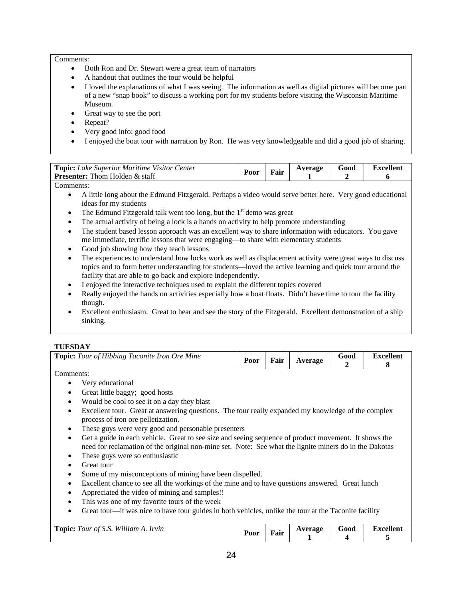#### Comments:

- Both Ron and Dr. Stewart were a great team of narrators
- A handout that outlines the tour would be helpful
- I loved the explanations of what I was seeing. The information as well as digital pictures will become part of a new "snap book" to discuss a working port for my students before visiting the Wisconsin Maritime Museum.
- Great way to see the port
- Repeat?
- Very good info; good food
- I enjoyed the boat tour with narration by Ron. He was very knowledgeable and did a good job of sharing.

| <b>Topic:</b> Lake Superior Maritime Visitor Center<br><b>Presenter:</b> Thom Holden $\&$ staff | $P_{00r}$ | Fair | Average | 500d | Excellent |
|-------------------------------------------------------------------------------------------------|-----------|------|---------|------|-----------|
| -                                                                                               |           |      |         |      |           |

Comments:

- A little long about the Edmund Fitzgerald. Perhaps a video would serve better here. Very good educational ideas for my students
- The Edmund Fitzgerald talk went too long, but the  $1<sup>st</sup>$  demo was great
- The actual activity of being a lock is a hands on activity to help promote understanding
- The student based lesson approach was an excellent way to share information with educators. You gave me immediate, terrific lessons that were engaging—to share with elementary students
- Good job showing how they teach lessons
- The experiences to understand how locks work as well as displacement activity were great ways to discuss topics and to form better understanding for students—loved the active learning and quick tour around the facility that are able to go back and explore independently.
- I enjoyed the interactive techniques used to explain the different topics covered
- Really enjoyed the hands on activities especially how a boat floats. Didn't have time to tour the facility though.
- Excellent enthusiasm. Great to hear and see the story of the Fitzgerald. Excellent demonstration of a ship sinking.

### **TUESDAY**

| <b>Topic:</b> Tour of Hibbing Taconite Iron Ore Mine                                                                                                                                                                        | Poor | Fair | Average                   | Good                           | <b>Excellent</b><br>8 |  |  |  |
|-----------------------------------------------------------------------------------------------------------------------------------------------------------------------------------------------------------------------------|------|------|---------------------------|--------------------------------|-----------------------|--|--|--|
| Comments:                                                                                                                                                                                                                   |      |      |                           |                                |                       |  |  |  |
| Very educational                                                                                                                                                                                                            |      |      |                           |                                |                       |  |  |  |
| Great little baggy; good hosts                                                                                                                                                                                              |      |      |                           |                                |                       |  |  |  |
| Would be cool to see it on a day they blast<br>$\bullet$                                                                                                                                                                    |      |      |                           |                                |                       |  |  |  |
| Excellent tour. Great at answering questions. The tour really expanded my knowledge of the complex<br>٠<br>process of iron ore pelletization.                                                                               |      |      |                           |                                |                       |  |  |  |
| These guys were very good and personable presenters<br>٠                                                                                                                                                                    |      |      |                           |                                |                       |  |  |  |
| Get a guide in each vehicle. Great to see size and seeing sequence of product movement. It shows the<br>$\bullet$<br>need for reclamation of the original non-mine set. Note: See what the lignite miners do in the Dakotas |      |      |                           |                                |                       |  |  |  |
| These guys were so enthusiastic<br>٠                                                                                                                                                                                        |      |      |                           |                                |                       |  |  |  |
| Great tour                                                                                                                                                                                                                  |      |      |                           |                                |                       |  |  |  |
| Some of my misconceptions of mining have been dispelled.<br>٠                                                                                                                                                               |      |      |                           |                                |                       |  |  |  |
| Excellent chance to see all the workings of the mine and to have questions answered. Great lunch<br>$\bullet$                                                                                                               |      |      |                           |                                |                       |  |  |  |
| Appreciated the video of mining and samples!!                                                                                                                                                                               |      |      |                           |                                |                       |  |  |  |
| This was one of my favorite tours of the week<br>$\bullet$                                                                                                                                                                  |      |      |                           |                                |                       |  |  |  |
| Great tour—it was nice to have tour guides in both vehicles, unlike the tour at the Taconite facility<br>٠                                                                                                                  |      |      |                           |                                |                       |  |  |  |
|                                                                                                                                                                                                                             |      |      |                           |                                |                       |  |  |  |
| <b>Topic:</b> Tour of S.S. William A. Irvin                                                                                                                                                                                 | Poor | Fair | Average<br>$\blacksquare$ | Good<br>$\boldsymbol{\Lambda}$ | <b>Excellent</b>      |  |  |  |

**1** 

**4** 

**5**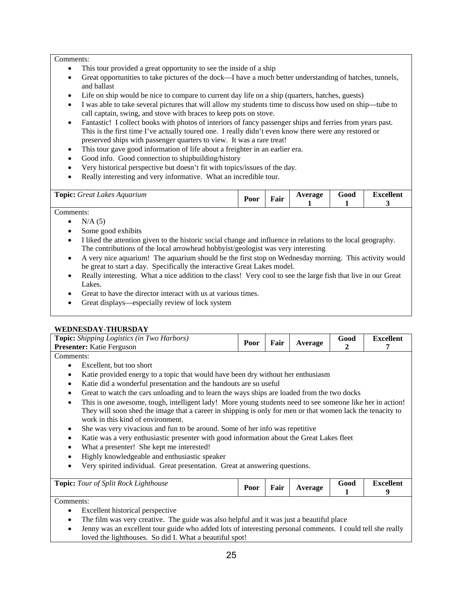#### Comments:

- This tour provided a great opportunity to see the inside of a ship
- Great opportunities to take pictures of the dock—I have a much better understanding of hatches, tunnels, and ballast
- Life on ship would be nice to compare to current day life on a ship (quarters, hatches, guests)
- I was able to take several pictures that will allow my students time to discuss how used on ship—tube to call captain, swing, and stove with braces to keep pots on stove.
- Fantastic! I collect books with photos of interiors of fancy passenger ships and ferries from years past. This is the first time I've actually toured one. I really didn't even know there were any restored or preserved ships with passenger quarters to view. It was a rare treat!
- This tour gave good information of life about a freighter in an earlier era.
- Good info. Good connection to shipbuilding/history
- Very historical perspective but doesn't fit with topics/issues of the day.
- Really interesting and very informative. What an incredible tour.

| <b>Topic:</b><br>: Great Lakes Aquarum | $\blacksquare$<br>Poor | Fair | Average | $-$<br>Good | Excellent |
|----------------------------------------|------------------------|------|---------|-------------|-----------|
|                                        |                        |      |         |             |           |

Comments:

- $\bullet$  N/A (5)
- Some good exhibits
- I liked the attention given to the historic social change and influence in relations to the local geography. The contributions of the local arrowhead hobbyist/geologist was very interesting
- A very nice aquarium! The aquarium should be the first stop on Wednesday morning. This activity would be great to start a day. Specifically the interactive Great Lakes model.
- Really interesting. What a nice addition to the class! Very cool to see the large fish that live in our Great Lakes.
- Great to have the director interact with us at various times.
- Great displays—especially review of lock system

### **WEDNESDAY-THURSDAY**

| Topic: Shipping Logistics (in Two Harbors)<br>Presenter: Katie Ferguson                                                                         | Poor                                                     | Fair | Average | Good | <b>Excellent</b><br>7 |  |  |  |
|-------------------------------------------------------------------------------------------------------------------------------------------------|----------------------------------------------------------|------|---------|------|-----------------------|--|--|--|
| Comments:                                                                                                                                       |                                                          |      |         |      |                       |  |  |  |
| Excellent, but too short                                                                                                                        |                                                          |      |         |      |                       |  |  |  |
| Katie provided energy to a topic that would have been dry without her enthusiasm<br>٠                                                           |                                                          |      |         |      |                       |  |  |  |
| Katie did a wonderful presentation and the handouts are so useful<br>٠                                                                          |                                                          |      |         |      |                       |  |  |  |
| Great to watch the cars unloading and to learn the ways ships are loaded from the two docks<br>$\bullet$                                        |                                                          |      |         |      |                       |  |  |  |
| This is one awesome, tough, intelligent lady! More young students need to see someone like her in action!<br>$\bullet$                          |                                                          |      |         |      |                       |  |  |  |
| They will soon shed the image that a career in shipping is only for men or that women lack the tenacity to<br>work in this kind of environment. |                                                          |      |         |      |                       |  |  |  |
| She was very vivacious and fun to be around. Some of her info was repetitive<br>٠                                                               |                                                          |      |         |      |                       |  |  |  |
| Katie was a very enthusiastic presenter with good information about the Great Lakes fleet<br>٠                                                  |                                                          |      |         |      |                       |  |  |  |
| What a presenter! She kept me interested!<br>$\bullet$                                                                                          |                                                          |      |         |      |                       |  |  |  |
| Highly knowledgeable and enthusiastic speaker<br>$\bullet$                                                                                      |                                                          |      |         |      |                       |  |  |  |
| Very spirited individual. Great presentation. Great at answering questions.<br>$\bullet$                                                        |                                                          |      |         |      |                       |  |  |  |
|                                                                                                                                                 |                                                          |      |         |      |                       |  |  |  |
| <b>Topic:</b> Tour of Split Rock Lighthouse                                                                                                     | <b>Excellent</b><br>Good<br>Fair<br>Poor<br>Average<br>9 |      |         |      |                       |  |  |  |

Comments:

- Excellent historical perspective
- The film was very creative. The guide was also helpful and it was just a beautiful place
- Jenny was an excellent tour guide who added lots of interesting personal comments. I could tell she really loved the lighthouses. So did I. What a beautiful spot!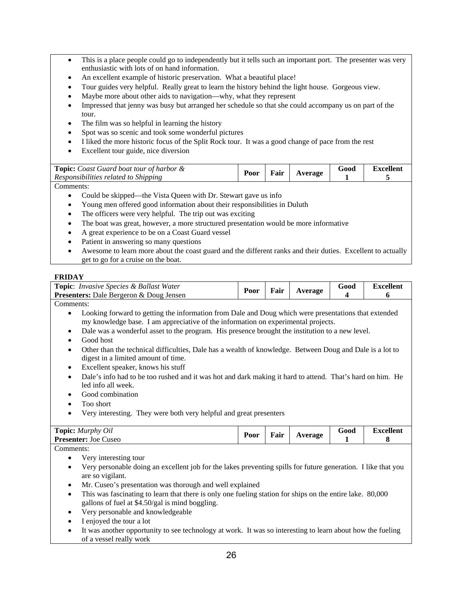- This is a place people could go to independently but it tells such an important port. The presenter was very enthusiastic with lots of on hand information.
- An excellent example of historic preservation. What a beautiful place!
- Tour guides very helpful. Really great to learn the history behind the light house. Gorgeous view.
- Maybe more about other aids to navigation—why, what they represent
- Impressed that jenny was busy but arranged her schedule so that she could accompany us on part of the tour.
- The film was so helpful in learning the history
- Spot was so scenic and took some wonderful pictures
- I liked the more historic focus of the Split Rock tour. It was a good change of pace from the rest
- Excellent tour guide, nice diversion

| Fair<br>$P_{00r}$<br>Average<br>Responsibilities related to Shipping | <b>Topic:</b> Coast Guard boat tour of harbor & |  |  | G000 | Excellent |
|----------------------------------------------------------------------|-------------------------------------------------|--|--|------|-----------|
|----------------------------------------------------------------------|-------------------------------------------------|--|--|------|-----------|

Comments:

- Could be skipped—the Vista Queen with Dr. Stewart gave us info
- Young men offered good information about their responsibilities in Duluth
- The officers were very helpful. The trip out was exciting
- The boat was great, however, a more structured presentation would be more informative
- A great experience to be on a Coast Guard vessel
- Patient in answering so many questions
- Awesome to learn more about the coast guard and the different ranks and their duties. Excellent to actually get to go for a cruise on the boat.

#### **FRIDAY**

| <b>Topic:</b> Invasive Species & Ballast Water<br><b>Presenters:</b> Dale Bergeron & Doug Jensen | Poor | Fair | Average | Good | <b>Excellent</b> |
|--------------------------------------------------------------------------------------------------|------|------|---------|------|------------------|
| Comments:                                                                                        |      |      |         |      |                  |

- Looking forward to getting the information from Dale and Doug which were presentations that extended my knowledge base. I am appreciative of the information on experimental projects.
- Dale was a wonderful asset to the program. His presence brought the institution to a new level.
- Good host
- Other than the technical difficulties, Dale has a wealth of knowledge. Between Doug and Dale is a lot to digest in a limited amount of time.
- Excellent speaker, knows his stuff
- Dale's info had to be too rushed and it was hot and dark making it hard to attend. That's hard on him. He led info all week.
- Good combination
- Too short
- Very interesting. They were both very helpful and great presenters

| <b>Topic:</b> Murphy Oil<br><b>Presenter:</b><br>: Joe Cuseo | Poor | Fair | verage | 500d | Excellent |
|--------------------------------------------------------------|------|------|--------|------|-----------|
|                                                              |      |      |        |      |           |

Comments:

- Very interesting tour
- Very personable doing an excellent job for the lakes preventing spills for future generation. I like that you are so vigilant.
- Mr. Cuseo's presentation was thorough and well explained
- This was fascinating to learn that there is only one fueling station for ships on the entire lake. 80,000 gallons of fuel at \$4.50/gal is mind boggling.
- Very personable and knowledgeable
- I enjoyed the tour a lot
- It was another opportunity to see technology at work. It was so interesting to learn about how the fueling of a vessel really work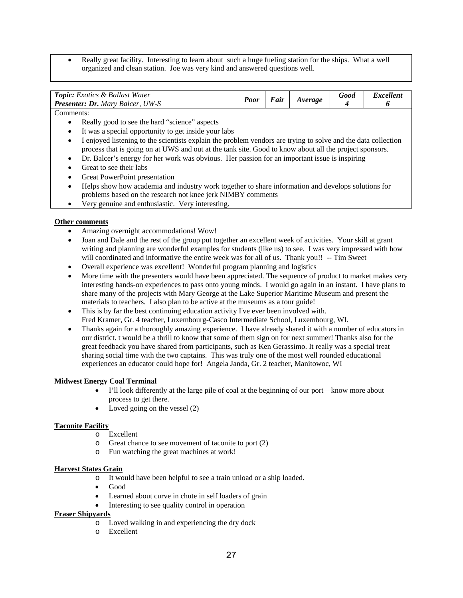• Really great facility. Interesting to learn about such a huge fueling station for the ships. What a well organized and clean station. Joe was very kind and answered questions well.

| <b>Topic:</b> Exotics & Ballast Water<br><b>Presenter: Dr.</b> Mary Balcer, UW-S | $\boldsymbol{p}_{\boldsymbol{\theta}\boldsymbol{\theta}}$ | 'air | Average | 5000 | Excellent |
|----------------------------------------------------------------------------------|-----------------------------------------------------------|------|---------|------|-----------|
| __                                                                               |                                                           |      |         |      |           |

Comments:

- Really good to see the hard "science" aspects
- It was a special opportunity to get inside your labs
- I enjoyed listening to the scientists explain the problem vendors are trying to solve and the data collection process that is going on at UWS and out at the tank site. Good to know about all the project sponsors.
- Dr. Balcer's energy for her work was obvious. Her passion for an important issue is inspiring
- Great to see their labs
- Great PowerPoint presentation
- Helps show how academia and industry work together to share information and develops solutions for problems based on the research not knee jerk NIMBY comments
- Very genuine and enthusiastic. Very interesting.

### **Other comments**

- Amazing overnight accommodations! Wow!
- Joan and Dale and the rest of the group put together an excellent week of activities. Your skill at grant writing and planning are wonderful examples for students (like us) to see. I was very impressed with how will coordinated and informative the entire week was for all of us. Thank you!! -- Tim Sweet
- Overall experience was excellent! Wonderful program planning and logistics
- More time with the presenters would have been appreciated. The sequence of product to market makes very interesting hands-on experiences to pass onto young minds. I would go again in an instant. I have plans to share many of the projects with Mary George at the Lake Superior Maritime Museum and present the materials to teachers. I also plan to be active at the museums as a tour guide!
- This is by far the best continuing education activity I've ever been involved with. Fred Kramer, Gr. 4 teacher, Luxembourg-Casco Intermediate School, Luxembourg, WI.
- Thanks again for a thoroughly amazing experience. I have already shared it with a number of educators in our district. t would be a thrill to know that some of them sign on for next summer! Thanks also for the great feedback you have shared from participants, such as Ken Gerassimo. It really was a special treat sharing social time with the two captains. This was truly one of the most well rounded educational experiences an educator could hope for! Angela Janda, Gr. 2 teacher, Manitowoc, WI

### **Midwest Energy Coal Terminal**

- I'll look differently at the large pile of coal at the beginning of our port—know more about process to get there.
- Loved going on the vessel  $(2)$

### **Taconite Facility**

- o Excellent
- o Great chance to see movement of taconite to port (2)
- o Fun watching the great machines at work!

### **Harvest States Grain**

- o It would have been helpful to see a train unload or a ship loaded.
- Good
- Learned about curve in chute in self loaders of grain
- Interesting to see quality control in operation

### **Fraser Shipyards**

- o Loved walking in and experiencing the dry dock
- o Excellent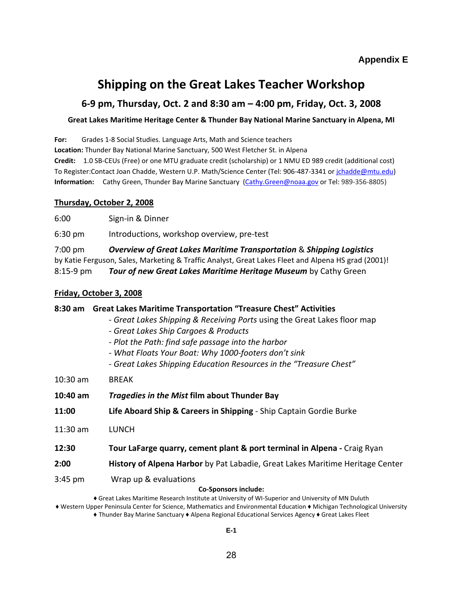# **Shipping on the Great Lakes Teacher Workshop**

# **6‐9 pm, Thursday, Oct. 2 and 8:30 am – 4:00 pm, Friday, Oct. 3, 2008**

### **Great Lakes Maritime Heritage Center & Thunder Bay National Marine Sanctuary in Alpena, MI**

**For:**  Grades 1‐8 Social Studies. Language Arts, Math and Science teachers

**Location:** Thunder Bay National Marine Sanctuary, 500 West Fletcher St. in Alpena

**Credit:** 1.0 SB‐CEUs (Free) or one MTU graduate credit (scholarship) or 1 NMU ED 989 credit (additional cost) To Register:Contact Joan Chadde, Western U.P. Math/Science Center (Tel: 906‐487‐3341 or jchadde@mtu.edu) Information: Cathy Green, Thunder Bay Marine Sanctuary (Cathy.Green@noaa.gov or Tel: 989-356-8805)

## **Thursday, October 2, 2008**

6:00 Sign‐in & Dinner

6:30 pm Introductions, workshop overview, pre‐test

7:00 pm *Overview of Great Lakes Maritime Transportation* & *Shipping Logistics* by Katie Ferguson, Sales, Marketing & Traffic Analyst, Great Lakes Fleet and Alpena HS grad (2001)! 8:15‐9 pm *Tour of new Great Lakes Maritime Heritage Museum* by Cathy Green

## **Friday, October 3, 2008**

# **8:30 am Great Lakes Maritime Transportation "Treasure Chest" Activities** ‐ *Great Lakes Shipping & Receiving Ports* using the Great Lakes floor map ‐ *Great Lakes Ship Cargoes & Products* ‐ *Plot the Path: find safe passage into the harbor* ‐ *What Floats Your Boat: Why 1000‐footers don't sink* ‐ *Great Lakes Shipping Education Resources in the "Treasure Chest"* 10:30 am BREAK **10:40 am** *Tragedies in the Mist* **film about Thunder Bay 11:00 Life Aboard Ship & Careers in Shipping** ‐ Ship Captain Gordie Burke 11:30 am LUNCH **12:30 Tour LaFarge quarry, cement plant & port terminal in Alpena ‐** Craig Ryan **2:00 History of Alpena Harbor** by Pat Labadie, Great Lakes Maritime Heritage Center 3:45 pm Wrap up & evaluations **Co‐Sponsors include:** ♦ Great Lakes Maritime Research Institute at University of WI‐Superior and University of MN Duluth ♦ Western Upper Peninsula Center for Science, Mathematics and Environmental Education ♦ Michigan Technological University ♦ Thunder Bay Marine Sanctuary ♦ Alpena Regional Educational Services Agency ♦ Great Lakes Fleet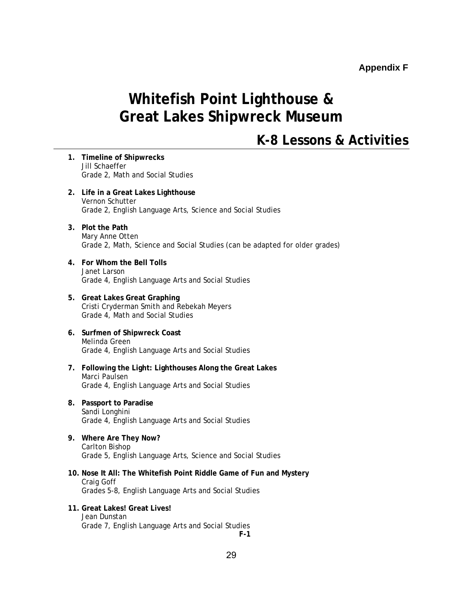## **Appendix F**

# **Whitefish Point Lighthouse & Great Lakes Shipwreck Museum**

# **K-8 Lessons & Activities**

- **1. Timeline of Shipwrecks**  Jill Schaeffer Grade 2, Math and Social Studies
- **2. Life in a Great Lakes Lighthouse**  Vernon Schutter Grade 2, English Language Arts, Science and Social Studies
- **3. Plot the Path**  Mary Anne Otten Grade 2, Math, Science and Social Studies (can be adapted for older grades)
- **4. For Whom the Bell Tolls**  Janet Larson Grade 4, English Language Arts and Social Studies
- **5. Great Lakes Great Graphing**  Cristi Cryderman Smith and Rebekah Meyers Grade 4, Math and Social Studies
- **6. Surfmen of Shipwreck Coast**  Melinda Green Grade 4, English Language Arts and Social Studies
- **7. Following the Light: Lighthouses Along the Great Lakes**  Marci Paulsen Grade 4, English Language Arts and Social Studies
- **8. Passport to Paradise**  Sandi Longhini Grade 4, English Language Arts and Social Studies
- **9. Where Are They Now?**  Carlton Bishop Grade 5, English Language Arts, Science and Social Studies
- **10. Nose It All: The Whitefish Point Riddle Game of Fun and Mystery**  Craig Goff Grades 5-8, English Language Arts and Social Studies
- **11. Great Lakes! Great Lives!**  Jean Dunstan Grade 7, English Language Arts and Social Studies **F-1**

29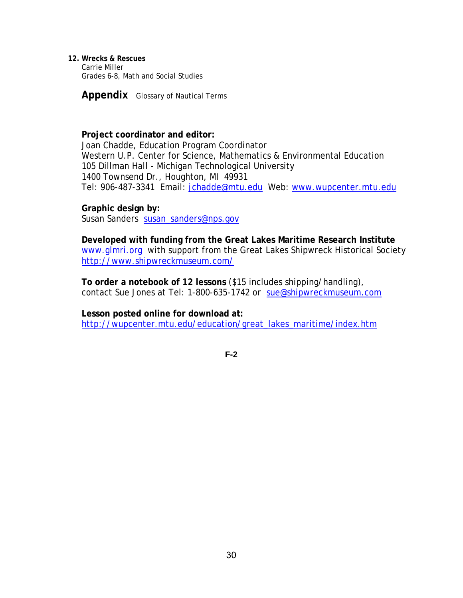**12. Wrecks & Rescues**  Carrie Miller Grades 6-8, Math and Social Studies

**Appendix** Glossary of Nautical Terms

## **Project coordinator and editor:**

Joan Chadde, Education Program Coordinator Western U.P. Center for Science, Mathematics & Environmental Education 105 Dillman Hall - Michigan Technological University 1400 Townsend Dr., Houghton, MI 49931 Tel: 906-487-3341 Email: jchadde@mtu.edu Web: www.wupcenter.mtu.edu

**Graphic design by:** 

Susan Sanders susan\_sanders@nps.gov

**Developed with funding from the Great Lakes Maritime Research Institute** www.glmri.org with support from the Great Lakes Shipwreck Historical Society http://www.shipwreckmuseum.com/

**To order a notebook of 12 lessons** (\$15 includes shipping/handling), contact Sue Jones at Tel: 1-800-635-1742 or sue@shipwreckmuseum.com

**Lesson posted online for download at:** http://wupcenter.mtu.edu/education/great\_lakes\_maritime/index.htm

**F-2**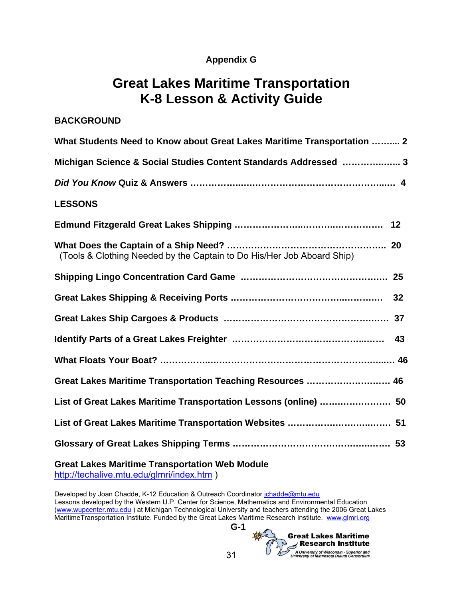# **Appendix G**

# **Great Lakes Maritime Transportation K-8 Lesson & Activity Guide**

| <b>BACKGROUND</b>                                                       |
|-------------------------------------------------------------------------|
| What Students Need to Know about Great Lakes Maritime Transportation  2 |
| Michigan Science & Social Studies Content Standards Addressed  3        |
|                                                                         |
| <b>LESSONS</b>                                                          |
|                                                                         |
| (Tools & Clothing Needed by the Captain to Do His/Her Job Aboard Ship)  |
|                                                                         |
|                                                                         |
|                                                                         |
|                                                                         |
|                                                                         |
| Great Lakes Maritime Transportation Teaching Resources  46              |
| List of Great Lakes Maritime Transportation Lessons (online)  50        |
| List of Great Lakes Maritime Transportation Websites  51                |
|                                                                         |
|                                                                         |

**Great Lakes Maritime Transportation Web Module** 

http://techalive.mtu.edu/glmri/index.htm )

Developed by Joan Chadde, K-12 Education & Outreach Coordinator *jchadde@mtu.edu* Lessons developed by the Western U.P. Center for Science, Mathematics and Environmental Education (www.wupcenter.mtu.edu) at Michigan Technological University and teachers attending the 2006 Great Lakes MaritimeTransportation Institute. Funded by the Great Lakes Maritime Research Institute. www.glmri.org

**G-1**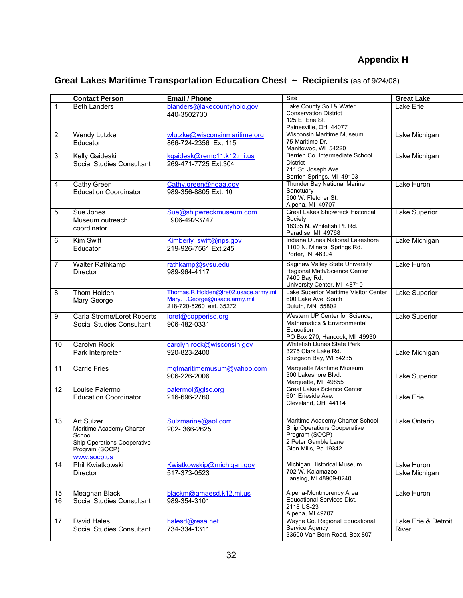# **Appendix H**

# **Great Lakes Maritime Transportation Education Chest ~ Recipients** (as of 9/24/08)

|                | <b>Contact Person</b>                                                                                            | <b>Email / Phone</b>                                                                            | <b>Site</b>                                                                                                                     | <b>Great Lake</b>                   |
|----------------|------------------------------------------------------------------------------------------------------------------|-------------------------------------------------------------------------------------------------|---------------------------------------------------------------------------------------------------------------------------------|-------------------------------------|
| 1              | <b>Beth Landers</b>                                                                                              | blanders@lakecountyhoio.gov<br>440-3502730                                                      | Lake County Soil & Water<br><b>Conservation District</b><br>125 E. Erie St.<br>Painesville, OH 44077                            | Lake Erie                           |
| $\overline{2}$ | Wendy Lutzke<br>Educator                                                                                         | wlutzke@wisconsinmaritime.org<br>866-724-2356 Ext.115                                           | <b>Wisconsin Maritime Museum</b><br>75 Maritime Dr.<br>Manitowoc, WI 54220                                                      | Lake Michigan                       |
| 3              | Kelly Gaideski<br>Social Studies Consultant                                                                      | kgaidesk@remc11.k12.mi.us<br>269-471-7725 Ext.304                                               | Berrien Co. Intermediate School<br><b>District</b><br>711 St. Joseph Ave.<br>Berrien Springs, MI 49103                          | Lake Michigan                       |
| 4              | Cathy Green<br><b>Education Coordinator</b>                                                                      | Cathy.green@noaa.gov<br>989-356-8805 Ext. 10                                                    | Thunder Bay National Marine<br>Sanctuary<br>500 W. Fletcher St.<br>Alpena, MI 49707                                             | Lake Huron                          |
| 5              | Sue Jones<br>Museum outreach<br>coordinator                                                                      | Sue@shipwreckmuseum.com<br>906-492-3747                                                         | <b>Great Lakes Shipwreck Historical</b><br>Society<br>18335 N. Whitefish Pt. Rd.<br>Paradise, MI 49768                          | Lake Superior                       |
| 6              | Kim Swift<br>Educator                                                                                            | Kimberly swift@nps.gov<br>219-926-7561 Ext.245                                                  | Indiana Dunes National Lakeshore<br>1100 N. Mineral Springs Rd.<br>Porter, IN 46304                                             | Lake Michigan                       |
| 7              | Walter Rathkamp<br><b>Director</b>                                                                               | rathkamp@svsu.edu<br>989-964-4117                                                               | <b>Saginaw Valley State University</b><br>Regional Math/Science Center<br>7400 Bay Rd.<br>University Center, MI 48710           | Lake Huron                          |
| 8              | Thom Holden<br>Mary George                                                                                       | Thomas.R.Holden@Ire02.usace.army.mil<br>Mary.T.George@usace.army.mil<br>218-720-5260 ext. 35272 | Lake Superior Maritime Visitor Center<br>600 Lake Ave. South<br>Duluth, MN 55802                                                | Lake Superior                       |
| 9              | Carla Strome/Loret Roberts<br>Social Studies Consultant                                                          | loret@copperisd.org<br>906-482-0331                                                             | Western UP Center for Science,<br>Mathematics & Environmental<br>Education<br>PO Box 270, Hancock, MI 49930                     | Lake Superior                       |
| 10             | Carolyn Rock<br>Park Interpreter                                                                                 | carolyn.rock@wisconsin.gov<br>920-823-2400                                                      | <b>Whitefish Dunes State Park</b><br>3275 Clark Lake Rd.<br>Sturgeon Bay, WI 54235                                              | Lake Michigan                       |
| 11             | <b>Carrie Fries</b>                                                                                              | mgtmaritimemusum@yahoo.com<br>906-226-2006                                                      | Marquette Maritime Museum<br>300 Lakeshore Blvd.<br>Marquette, MI 49855                                                         | Lake Superior                       |
| 12             | Louise Palermo<br><b>Education Coordinator</b>                                                                   | palermol@glsc.org<br>216-696-2760                                                               | <b>Great Lakes Science Center</b><br>601 Erieside Ave.<br>Cleveland, OH 44114                                                   | Lake Erie                           |
| 13             | Art Sulzer<br>Maritime Academy Charter<br>School<br>Ship Operations Cooperative<br>Program (SOCP)<br>www.socp.us | Sulzmarine@aol.com<br>202-366-2625                                                              | Maritime Academy Charter School<br>Ship Operations Cooperative<br>Program (SOCP)<br>2 Peter Gamble Lane<br>Glen Mills, Pa 19342 | Lake Ontario                        |
| 14             | Phil Kwiatkowski<br>Director                                                                                     | Kwiatkowskip@michigan.gov<br>517-373-0523                                                       | Michigan Historical Museum<br>702 W. Kalamazoo,<br>Lansing, MI 48909-8240                                                       | Lake Huron<br>Lake Michigan         |
| 15<br>16       | Meaghan Black<br>Social Studies Consultant                                                                       | blackm@amaesd.k12.mi.us<br>989-354-3101                                                         | Alpena-Montmorency Area<br><b>Educational Services Dist.</b><br>2118 US-23<br>Alpena, MI 49707                                  | Lake Huron                          |
| 17             | David Hales<br>Social Studies Consultant                                                                         | halesd@resa.net<br>734-334-1311                                                                 | Wayne Co. Regional Educational<br>Service Agency<br>33500 Van Born Road, Box 807                                                | Lake Erie & Detroit<br><b>River</b> |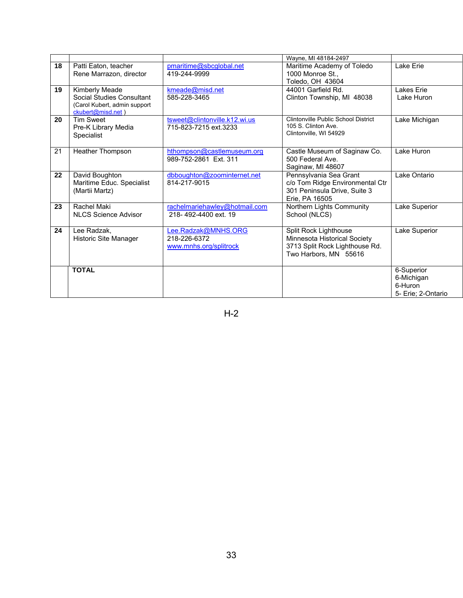|    |                                                                                                  |                                                               | Wayne, MI 48184-2497                                                                                             |                                                           |
|----|--------------------------------------------------------------------------------------------------|---------------------------------------------------------------|------------------------------------------------------------------------------------------------------------------|-----------------------------------------------------------|
| 18 | Patti Eaton, teacher<br>Rene Marrazon, director                                                  | pmaritime@sbcglobal.net<br>419-244-9999                       | Maritime Academy of Toledo<br>1000 Monroe St<br>Toledo, OH 43604                                                 | Lake Erie                                                 |
| 19 | Kimberly Meade<br>Social Studies Consultant<br>(Carol Kubert, admin support<br>ckubert@misd.net) | kmeade@misd.net<br>585-228-3465                               | 44001 Garfield Rd.<br>Clinton Township, MI 48038                                                                 | Lakes Erie<br>Lake Huron                                  |
| 20 | <b>Tim Sweet</b><br>Pre-K Library Media<br><b>Specialist</b>                                     | tsweet@clintonville.k12.wi.us<br>715-823-7215 ext.3233        | Clintonville Public School District<br>105 S. Clinton Ave.<br>Clintonville, WI 54929                             | Lake Michigan                                             |
| 21 | Heather Thompson                                                                                 | hthompson@castlemuseum.org<br>989-752-2861 Ext. 311           | Castle Museum of Saginaw Co.<br>500 Federal Ave.<br>Saginaw, MI 48607                                            | Lake Huron                                                |
| 22 | David Boughton<br>Maritime Educ. Specialist<br>(Martii Martz)                                    | dbboughton@zoominternet.net<br>814-217-9015                   | Pennsylvania Sea Grant<br>c/o Tom Ridge Environmental Ctr<br>301 Peninsula Drive, Suite 3<br>Erie. PA 16505      | Lake Ontario                                              |
| 23 | Rachel Maki<br><b>NLCS Science Advisor</b>                                                       | rachelmariehawley@hotmail.com<br>218-492-4400 ext. 19         | Northern Lights Community<br>School (NLCS)                                                                       | Lake Superior                                             |
| 24 | Lee Radzak,<br>Historic Site Manager                                                             | Lee.Radzak@MNHS.ORG<br>218-226-6372<br>www.mnhs.org/splitrock | Split Rock Lighthouse<br>Minnesota Historical Society<br>3713 Split Rock Lighthouse Rd.<br>Two Harbors, MN 55616 | Lake Superior                                             |
|    | <b>TOTAL</b>                                                                                     |                                                               |                                                                                                                  | 6-Superior<br>6-Michigan<br>6-Huron<br>5- Erie: 2-Ontario |

H-2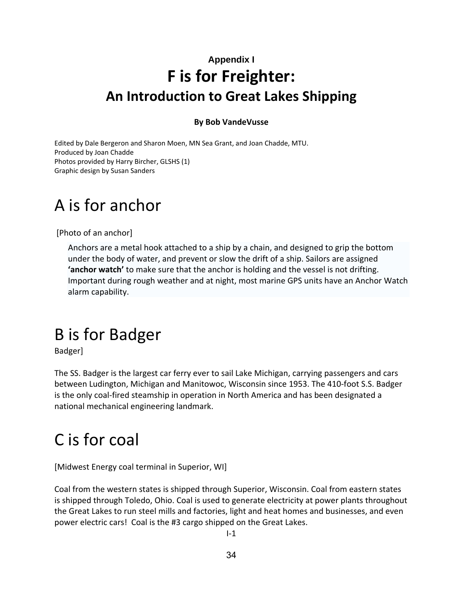# **Appendix I F is for Freighter: An Introduction to Great Lakes Shipping**

# **By Bob VandeVusse**

Edited by Dale Bergeron and Sharon Moen, MN Sea Grant, and Joan Chadde, MTU. Produced by Joan Chadde Photos provided by Harry Bircher, GLSHS (1) Graphic design by Susan Sanders

# A is for anchor

[Photo of an anchor]

Anchors are a metal hook attached to a ship by a chain, and designed to grip the bottom under the body of water, and prevent or slow the drift of a ship. Sailors are assigned **'anchor watch'** to make sure that the anchor is holding and the vessel is not drifting. Important during rough weather and at night, most marine GPS units have an Anchor Watch alarm capability.

# B is for Badger

Badger]

The SS. Badger is the largest car ferry ever to sail Lake Michigan, carrying passengers and cars between Ludington, Michigan and Manitowoc, Wisconsin since 1953. The 410‐foot S.S. Badger is the only coal‐fired steamship in operation in North America and has been designated a national mechanical engineering landmark.

# C is for coal

[Midwest Energy coal terminal in Superior, WI]

Coal from the western states is shipped through Superior, Wisconsin. Coal from eastern states is shipped through Toledo, Ohio. Coal is used to generate electricity at power plants throughout the Great Lakes to run steel mills and factories, light and heat homes and businesses, and even power electric cars! Coal is the #3 cargo shipped on the Great Lakes.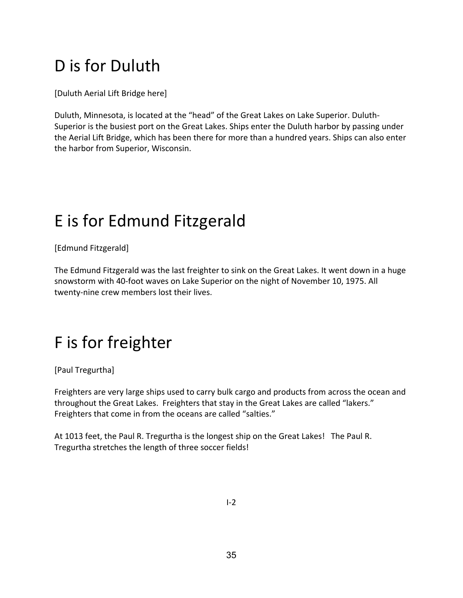# D is for Duluth

[Duluth Aerial Lift Bridge here]

Duluth, Minnesota, is located at the "head" of the Great Lakes on Lake Superior. Duluth‐ Superior is the busiest port on the Great Lakes. Ships enter the Duluth harbor by passing under the Aerial Lift Bridge, which has been there for more than a hundred years. Ships can also enter the harbor from Superior, Wisconsin.

# E is for Edmund Fitzgerald

[Edmund Fitzgerald]

The Edmund Fitzgerald was the last freighter to sink on the Great Lakes. It went down in a huge snowstorm with 40‐foot waves on Lake Superior on the night of November 10, 1975. All twenty‐nine crew members lost their lives.

# F is for freighter

[Paul Tregurtha]

Freighters are very large ships used to carry bulk cargo and products from across the ocean and throughout the Great Lakes. Freighters that stay in the Great Lakes are called "lakers." Freighters that come in from the oceans are called "salties."

At 1013 feet, the Paul R. Tregurtha is the longest ship on the Great Lakes! The Paul R. Tregurtha stretches the length of three soccer fields!

 $I - 2$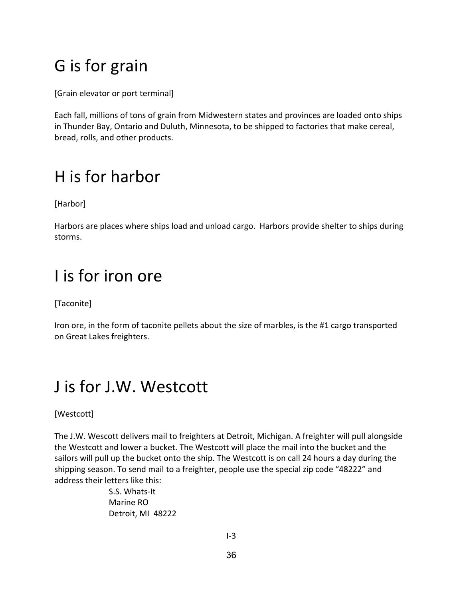# G is for grain

[Grain elevator or port terminal]

Each fall, millions of tons of grain from Midwestern states and provinces are loaded onto ships in Thunder Bay, Ontario and Duluth, Minnesota, to be shipped to factories that make cereal, bread, rolls, and other products.

# H is for harbor

[Harbor]

Harbors are places where ships load and unload cargo. Harbors provide shelter to ships during storms.

# I is for iron ore

[Taconite]

Iron ore, in the form of taconite pellets about the size of marbles, is the #1 cargo transported on Great Lakes freighters.

# J is for J.W. Westcott

[Westcott]

The J.W. Wescott delivers mail to freighters at Detroit, Michigan. A freighter will pull alongside the Westcott and lower a bucket. The Westcott will place the mail into the bucket and the sailors will pull up the bucket onto the ship. The Westcott is on call 24 hours a day during the shipping season. To send mail to a freighter, people use the special zip code "48222" and address their letters like this:

> S.S. Whats‐It Marine RO Detroit, MI 48222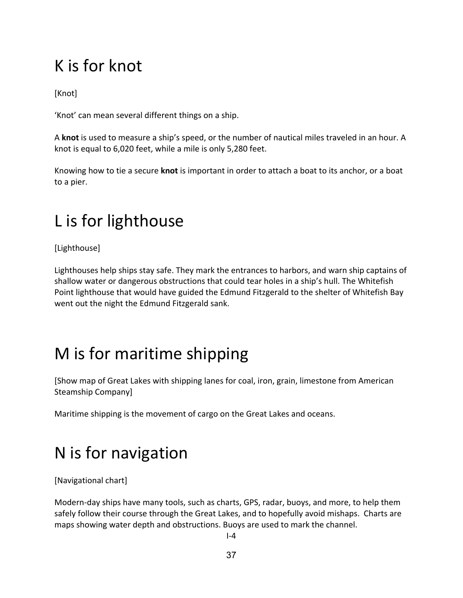# K is for knot

[Knot]

'Knot' can mean several different things on a ship.

A **knot** is used to measure a ship's speed, or the number of nautical miles traveled in an hour. A knot is equal to 6,020 feet, while a mile is only 5,280 feet.

Knowing how to tie a secure **knot** is important in order to attach a boat to its anchor, or a boat to a pier.

# L is for lighthouse

[Lighthouse]

Lighthouses help ships stay safe. They mark the entrances to harbors, and warn ship captains of shallow water or dangerous obstructions that could tear holes in a ship's hull. The Whitefish Point lighthouse that would have guided the Edmund Fitzgerald to the shelter of Whitefish Bay went out the night the Edmund Fitzgerald sank.

# M is for maritime shipping

[Show map of Great Lakes with shipping lanes for coal, iron, grain, limestone from American Steamship Company]

Maritime shipping is the movement of cargo on the Great Lakes and oceans.

# N is for navigation

[Navigational chart]

Modern-day ships have many tools, such as charts, GPS, radar, buoys, and more, to help them safely follow their course through the Great Lakes, and to hopefully avoid mishaps. Charts are maps showing water depth and obstructions. Buoys are used to mark the channel.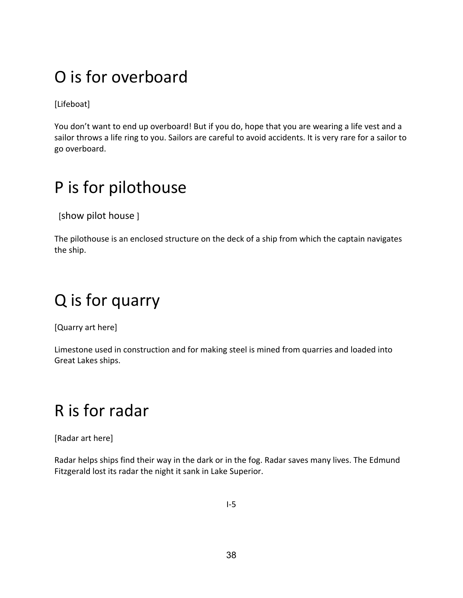# O is for overboard

[Lifeboat]

You don't want to end up overboard! But if you do, hope that you are wearing a life vest and a sailor throws a life ring to you. Sailors are careful to avoid accidents. It is very rare for a sailor to go overboard.

# P is for pilothouse

[show pilot house ]

The pilothouse is an enclosed structure on the deck of a ship from which the captain navigates the ship.

# Q is for quarry

[Quarry art here]

Limestone used in construction and for making steel is mined from quarries and loaded into Great Lakes ships.

# R is for radar

[Radar art here]

Radar helps ships find their way in the dark or in the fog. Radar saves many lives. The Edmund Fitzgerald lost its radar the night it sank in Lake Superior.

 $I-5$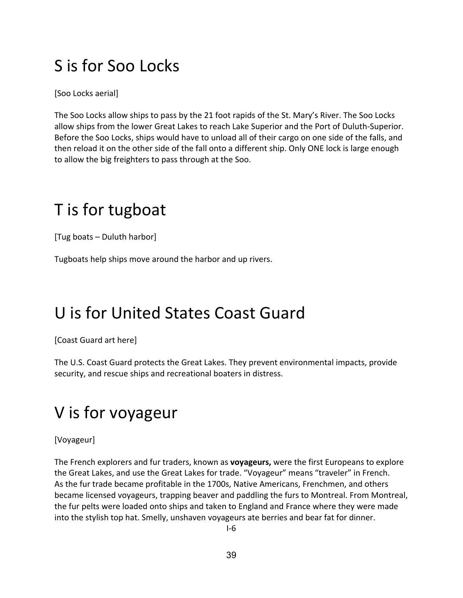# S is for Soo Locks

[Soo Locks aerial]

The Soo Locks allow ships to pass by the 21 foot rapids of the St. Mary's River. The Soo Locks allow ships from the lower Great Lakes to reach Lake Superior and the Port of Duluth‐Superior. Before the Soo Locks, ships would have to unload all of their cargo on one side of the falls, and then reload it on the other side of the fall onto a different ship. Only ONE lock is large enough to allow the big freighters to pass through at the Soo.

# T is for tugboat

[Tug boats – Duluth harbor]

Tugboats help ships move around the harbor and up rivers.

# U is for United States Coast Guard

[Coast Guard art here]

The U.S. Coast Guard protects the Great Lakes. They prevent environmental impacts, provide security, and rescue ships and recreational boaters in distress.

# V is for voyageur

[Voyageur]

The French explorers and fur traders, known as **voyageurs,** were the first Europeans to explore the Great Lakes, and use the Great Lakes for trade. "Voyageur" means "traveler" in French. As the fur trade became profitable in the 1700s, Native Americans, Frenchmen, and others became licensed voyageurs, trapping beaver and paddling the furs to Montreal. From Montreal, the fur pelts were loaded onto ships and taken to England and France where they were made into the stylish top hat. Smelly, unshaven voyageurs ate berries and bear fat for dinner.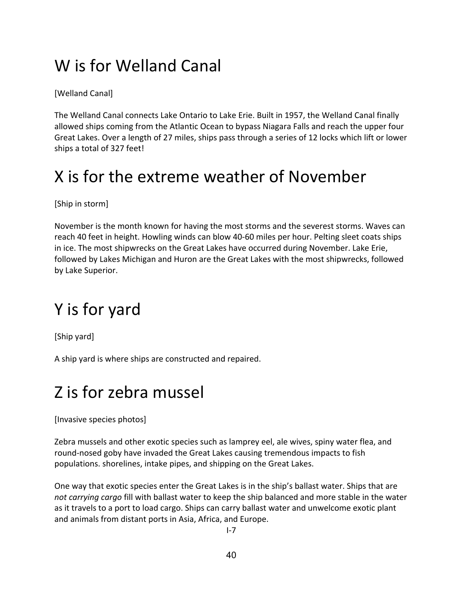# W is for Welland Canal

[Welland Canal]

The Welland Canal connects Lake Ontario to Lake Erie. Built in 1957, the Welland Canal finally allowed ships coming from the Atlantic Ocean to bypass Niagara Falls and reach the upper four Great Lakes. Over a length of 27 miles, ships pass through a series of 12 locks which lift or lower ships a total of 327 feet!

# X is for the extreme weather of November

[Ship in storm]

November is the month known for having the most storms and the severest storms. Waves can reach 40 feet in height. Howling winds can blow 40‐60 miles per hour. Pelting sleet coats ships in ice. The most shipwrecks on the Great Lakes have occurred during November. Lake Erie, followed by Lakes Michigan and Huron are the Great Lakes with the most shipwrecks, followed by Lake Superior.

# Y is for yard

[Ship yard]

A ship yard is where ships are constructed and repaired.

# Z is for zebra mussel

[Invasive species photos]

Zebra mussels and other exotic species such as lamprey eel, ale wives, spiny water flea, and round-nosed goby have invaded the Great Lakes causing tremendous impacts to fish populations. shorelines, intake pipes, and shipping on the Great Lakes.

One way that exotic species enter the Great Lakes is in the ship's ballast water. Ships that are *not carrying cargo* fill with ballast water to keep the ship balanced and more stable in the water as it travels to a port to load cargo. Ships can carry ballast water and unwelcome exotic plant and animals from distant ports in Asia, Africa, and Europe.

 $I - 7$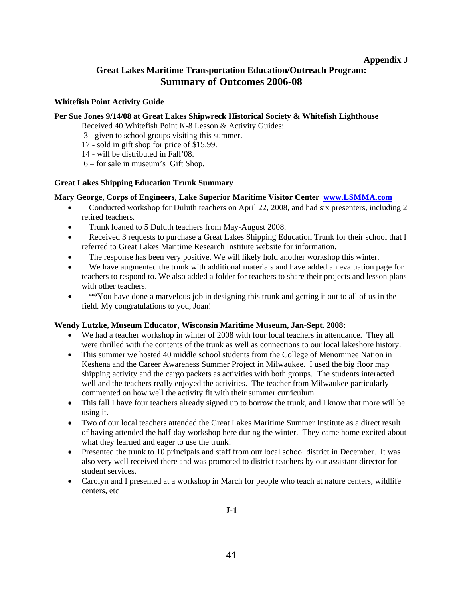### **Appendix J**

# **Great Lakes Maritime Transportation Education/Outreach Program: Summary of Outcomes 2006-08**

### **Whitefish Point Activity Guide**

### **Per Sue Jones 9/14/08 at Great Lakes Shipwreck Historical Society & Whitefish Lighthouse**

Received 40 Whitefish Point K-8 Lesson & Activity Guides:

- 3 given to school groups visiting this summer.
- 17 sold in gift shop for price of \$15.99.
- 14 will be distributed in Fall'08.
- 6 for sale in museum's Gift Shop.

### **Great Lakes Shipping Education Trunk Summary**

### **Mary George, Corps of Engineers, Lake Superior Maritime Visitor Center www.LSMMA.com**

- Conducted workshop for Duluth teachers on April 22, 2008, and had six presenters, including 2 retired teachers.
- Trunk loaned to 5 Duluth teachers from May-August 2008.
- Received 3 requests to purchase a Great Lakes Shipping Education Trunk for their school that I referred to Great Lakes Maritime Research Institute website for information.
- The response has been very positive. We will likely hold another workshop this winter.
- We have augmented the trunk with additional materials and have added an evaluation page for teachers to respond to. We also added a folder for teachers to share their projects and lesson plans with other teachers.
- \*\*You have done a marvelous job in designing this trunk and getting it out to all of us in the field. My congratulations to you, Joan!

### **Wendy Lutzke, Museum Educator, Wisconsin Maritime Museum, Jan-Sept. 2008:**

- We had a teacher workshop in winter of 2008 with four local teachers in attendance. They all were thrilled with the contents of the trunk as well as connections to our local lakeshore history.
- This summer we hosted 40 middle school students from the College of Menominee Nation in Keshena and the Career Awareness Summer Project in Milwaukee. I used the big floor map shipping activity and the cargo packets as activities with both groups. The students interacted well and the teachers really enjoyed the activities. The teacher from Milwaukee particularly commented on how well the activity fit with their summer curriculum.
- This fall I have four teachers already signed up to borrow the trunk, and I know that more will be using it.
- Two of our local teachers attended the Great Lakes Maritime Summer Institute as a direct result of having attended the half-day workshop here during the winter. They came home excited about what they learned and eager to use the trunk!
- Presented the trunk to 10 principals and staff from our local school district in December. It was also very well received there and was promoted to district teachers by our assistant director for student services.
- Carolyn and I presented at a workshop in March for people who teach at nature centers, wildlife centers, etc

## **J-1**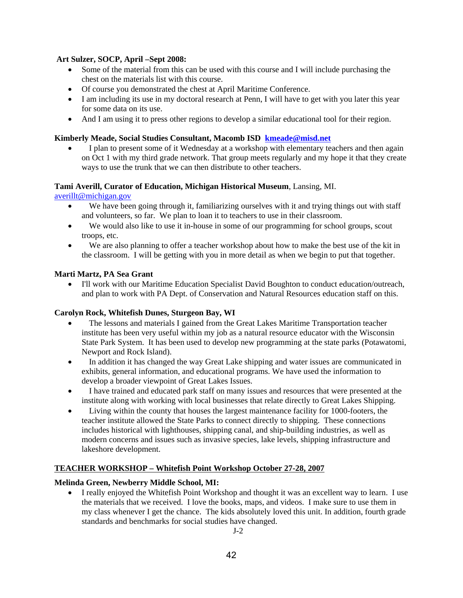### **Art Sulzer, SOCP, April –Sept 2008:**

- Some of the material from this can be used with this course and I will include purchasing the chest on the materials list with this course.
- Of course you demonstrated the chest at April Maritime Conference.
- I am including its use in my doctoral research at Penn, I will have to get with you later this year for some data on its use.
- And I am using it to press other regions to develop a similar educational tool for their region.

### **Kimberly Meade, Social Studies Consultant, Macomb ISD kmeade@misd.net**

• I plan to present some of it Wednesday at a workshop with elementary teachers and then again on Oct 1 with my third grade network. That group meets regularly and my hope it that they create ways to use the trunk that we can then distribute to other teachers.

### **Tami Averill, Curator of Education, Michigan Historical Museum**, Lansing, MI.

### averillt@michigan.gov

- We have been going through it, familiarizing ourselves with it and trying things out with staff and volunteers, so far. We plan to loan it to teachers to use in their classroom.
- We would also like to use it in-house in some of our programming for school groups, scout troops, etc.
- We are also planning to offer a teacher workshop about how to make the best use of the kit in the classroom. I will be getting with you in more detail as when we begin to put that together.

### **Marti Martz, PA Sea Grant**

• I'll work with our Maritime Education Specialist David Boughton to conduct education/outreach, and plan to work with PA Dept. of Conservation and Natural Resources education staff on this.

### **Carolyn Rock, Whitefish Dunes, Sturgeon Bay, WI**

- The lessons and materials I gained from the Great Lakes Maritime Transportation teacher institute has been very useful within my job as a natural resource educator with the Wisconsin State Park System. It has been used to develop new programming at the state parks (Potawatomi, Newport and Rock Island).
- In addition it has changed the way Great Lake shipping and water issues are communicated in exhibits, general information, and educational programs. We have used the information to develop a broader viewpoint of Great Lakes Issues.
- I have trained and educated park staff on many issues and resources that were presented at the institute along with working with local businesses that relate directly to Great Lakes Shipping.
- Living within the county that houses the largest maintenance facility for 1000-footers, the teacher institute allowed the State Parks to connect directly to shipping. These connections includes historical with lighthouses, shipping canal, and ship-building industries, as well as modern concerns and issues such as invasive species, lake levels, shipping infrastructure and lakeshore development.

### **TEACHER WORKSHOP – Whitefish Point Workshop October 27-28, 2007**

### **Melinda Green, Newberry Middle School, MI:**

• I really enjoyed the Whitefish Point Workshop and thought it was an excellent way to learn. I use the materials that we received. I love the books, maps, and videos. I make sure to use them in my class whenever I get the chance. The kids absolutely loved this unit. In addition, fourth grade standards and benchmarks for social studies have changed.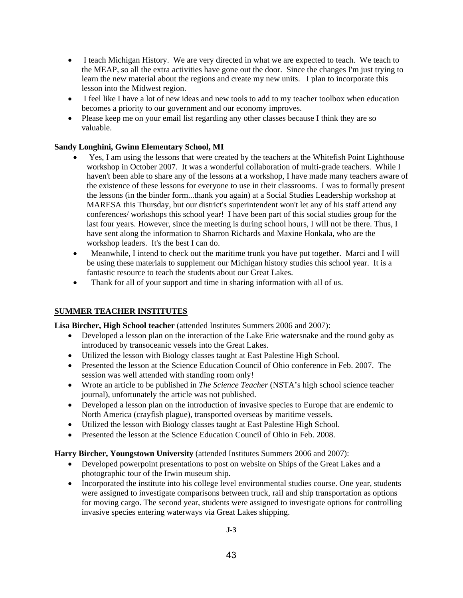- I teach Michigan History. We are very directed in what we are expected to teach. We teach to the MEAP, so all the extra activities have gone out the door. Since the changes I'm just trying to learn the new material about the regions and create my new units. I plan to incorporate this lesson into the Midwest region.
- I feel like I have a lot of new ideas and new tools to add to my teacher toolbox when education becomes a priority to our government and our economy improves.
- Please keep me on your email list regarding any other classes because I think they are so valuable.

### **Sandy Longhini, Gwinn Elementary School, MI**

- Yes, I am using the lessons that were created by the teachers at the Whitefish Point Lighthouse workshop in October 2007. It was a wonderful collaboration of multi-grade teachers. While I haven't been able to share any of the lessons at a workshop, I have made many teachers aware of the existence of these lessons for everyone to use in their classrooms. I was to formally present the lessons (in the binder form...thank you again) at a Social Studies Leadership workshop at MARESA this Thursday, but our district's superintendent won't let any of his staff attend any conferences/ workshops this school year! I have been part of this social studies group for the last four years. However, since the meeting is during school hours, I will not be there. Thus, I have sent along the information to Sharron Richards and Maxine Honkala, who are the workshop leaders. It's the best I can do.
- Meanwhile, I intend to check out the maritime trunk you have put together. Marci and I will be using these materials to supplement our Michigan history studies this school year. It is a fantastic resource to teach the students about our Great Lakes.
- Thank for all of your support and time in sharing information with all of us.

## **SUMMER TEACHER INSTITUTES**

**Lisa Bircher, High School teacher** (attended Institutes Summers 2006 and 2007):

- Developed a lesson plan on the interaction of the Lake Erie watersnake and the round goby as introduced by transoceanic vessels into the Great Lakes.
- Utilized the lesson with Biology classes taught at East Palestine High School.
- Presented the lesson at the Science Education Council of Ohio conference in Feb. 2007. The session was well attended with standing room only!
- Wrote an article to be published in *The Science Teacher* (NSTA's high school science teacher journal), unfortunately the article was not published.
- Developed a lesson plan on the introduction of invasive species to Europe that are endemic to North America (crayfish plague), transported overseas by maritime vessels.
- Utilized the lesson with Biology classes taught at East Palestine High School.
- Presented the lesson at the Science Education Council of Ohio in Feb. 2008.

### **Harry Bircher, Youngstown University** (attended Institutes Summers 2006 and 2007):

- Developed powerpoint presentations to post on website on Ships of the Great Lakes and a photographic tour of the Irwin museum ship.
- Incorporated the institute into his college level environmental studies course. One year, students were assigned to investigate comparisons between truck, rail and ship transportation as options for moving cargo. The second year, students were assigned to investigate options for controlling invasive species entering waterways via Great Lakes shipping.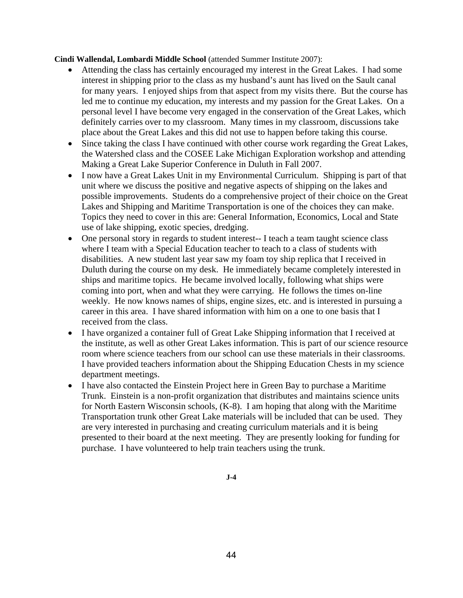### **Cindi Wallendal, Lombardi Middle School** (attended Summer Institute 2007):

- Attending the class has certainly encouraged my interest in the Great Lakes. I had some interest in shipping prior to the class as my husband's aunt has lived on the Sault canal for many years. I enjoyed ships from that aspect from my visits there. But the course has led me to continue my education, my interests and my passion for the Great Lakes. On a personal level I have become very engaged in the conservation of the Great Lakes, which definitely carries over to my classroom. Many times in my classroom, discussions take place about the Great Lakes and this did not use to happen before taking this course.
- Since taking the class I have continued with other course work regarding the Great Lakes, the Watershed class and the COSEE Lake Michigan Exploration workshop and attending Making a Great Lake Superior Conference in Duluth in Fall 2007.
- I now have a Great Lakes Unit in my Environmental Curriculum. Shipping is part of that unit where we discuss the positive and negative aspects of shipping on the lakes and possible improvements. Students do a comprehensive project of their choice on the Great Lakes and Shipping and Maritime Transportation is one of the choices they can make. Topics they need to cover in this are: General Information, Economics, Local and State use of lake shipping, exotic species, dredging.
- One personal story in regards to student interest-- I teach a team taught science class where I team with a Special Education teacher to teach to a class of students with disabilities. A new student last year saw my foam toy ship replica that I received in Duluth during the course on my desk. He immediately became completely interested in ships and maritime topics. He became involved locally, following what ships were coming into port, when and what they were carrying. He follows the times on-line weekly. He now knows names of ships, engine sizes, etc. and is interested in pursuing a career in this area. I have shared information with him on a one to one basis that I received from the class.
- I have organized a container full of Great Lake Shipping information that I received at the institute, as well as other Great Lakes information. This is part of our science resource room where science teachers from our school can use these materials in their classrooms. I have provided teachers information about the Shipping Education Chests in my science department meetings.
- I have also contacted the Einstein Project here in Green Bay to purchase a Maritime Trunk. Einstein is a non-profit organization that distributes and maintains science units for North Eastern Wisconsin schools, (K-8). I am hoping that along with the Maritime Transportation trunk other Great Lake materials will be included that can be used. They are very interested in purchasing and creating curriculum materials and it is being presented to their board at the next meeting. They are presently looking for funding for purchase. I have volunteered to help train teachers using the trunk.

**J-4**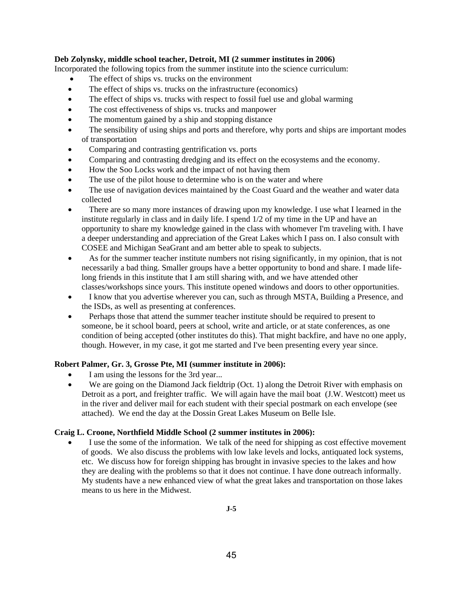### **Deb Zolynsky, middle school teacher, Detroit, MI (2 summer institutes in 2006)**

Incorporated the following topics from the summer institute into the science curriculum:

- The effect of ships vs. trucks on the environment
- The effect of ships vs. trucks on the infrastructure (economics)
- The effect of ships vs. trucks with respect to fossil fuel use and global warming
- The cost effectiveness of ships vs. trucks and manpower
- The momentum gained by a ship and stopping distance
- The sensibility of using ships and ports and therefore, why ports and ships are important modes of transportation
- Comparing and contrasting gentrification vs. ports
- Comparing and contrasting dredging and its effect on the ecosystems and the economy.
- How the Soo Locks work and the impact of not having them
- The use of the pilot house to determine who is on the water and where
- The use of navigation devices maintained by the Coast Guard and the weather and water data collected
- There are so many more instances of drawing upon my knowledge. I use what I learned in the institute regularly in class and in daily life. I spend 1/2 of my time in the UP and have an opportunity to share my knowledge gained in the class with whomever I'm traveling with. I have a deeper understanding and appreciation of the Great Lakes which I pass on. I also consult with COSEE and Michigan SeaGrant and am better able to speak to subjects.
- As for the summer teacher institute numbers not rising significantly, in my opinion, that is not necessarily a bad thing. Smaller groups have a better opportunity to bond and share. I made lifelong friends in this institute that I am still sharing with, and we have attended other classes/workshops since yours. This institute opened windows and doors to other opportunities.
- I know that you advertise wherever you can, such as through MSTA, Building a Presence, and the ISDs, as well as presenting at conferences.
- Perhaps those that attend the summer teacher institute should be required to present to someone, be it school board, peers at school, write and article, or at state conferences, as one condition of being accepted (other institutes do this). That might backfire, and have no one apply, though. However, in my case, it got me started and I've been presenting every year since.

### **Robert Palmer, Gr. 3, Grosse Pte, MI (summer institute in 2006):**

- I am using the lessons for the 3rd year...
- We are going on the Diamond Jack fieldtrip (Oct. 1) along the Detroit River with emphasis on Detroit as a port, and freighter traffic. We will again have the mail boat (J.W. Westcott) meet us in the river and deliver mail for each student with their special postmark on each envelope (see attached). We end the day at the Dossin Great Lakes Museum on Belle Isle.

### **Craig L. Croone, Northfield Middle School (2 summer institutes in 2006):**

• I use the some of the information. We talk of the need for shipping as cost effective movement of goods. We also discuss the problems with low lake levels and locks, antiquated lock systems, etc. We discuss how for foreign shipping has brought in invasive species to the lakes and how they are dealing with the problems so that it does not continue. I have done outreach informally. My students have a new enhanced view of what the great lakes and transportation on those lakes means to us here in the Midwest.